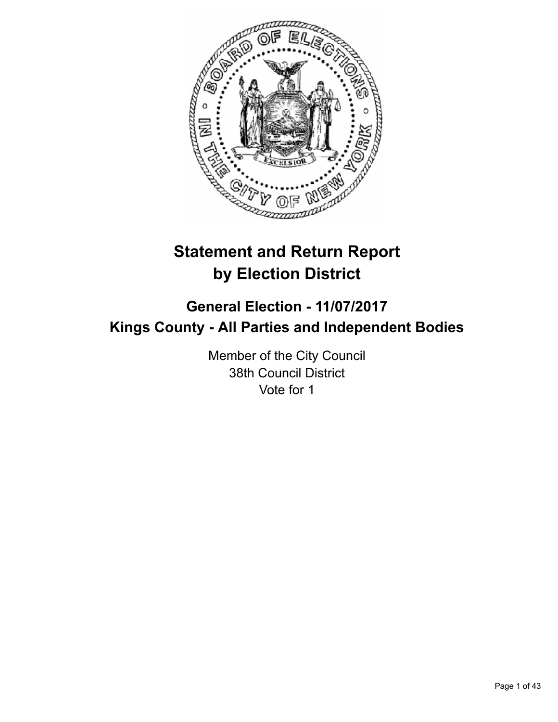

# **Statement and Return Report by Election District**

# **General Election - 11/07/2017 Kings County - All Parties and Independent Bodies**

Member of the City Council 38th Council District Vote for 1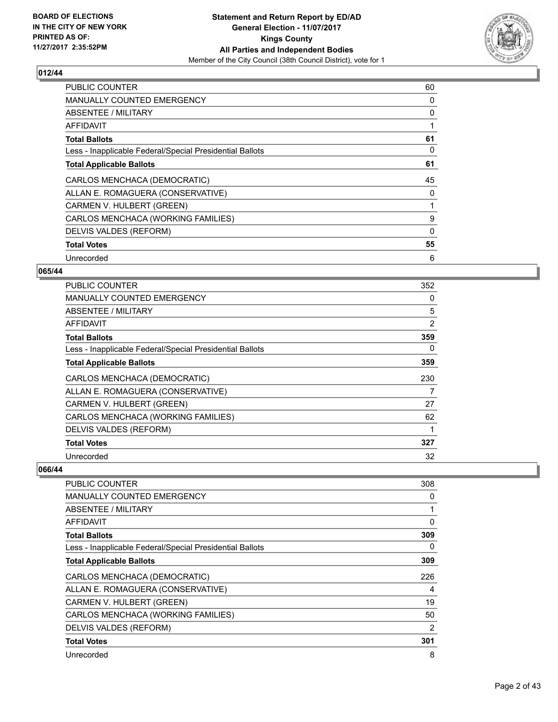

| <b>PUBLIC COUNTER</b>                                    | 60 |
|----------------------------------------------------------|----|
| <b>MANUALLY COUNTED EMERGENCY</b>                        | 0  |
| <b>ABSENTEE / MILITARY</b>                               | 0  |
| AFFIDAVIT                                                |    |
| <b>Total Ballots</b>                                     | 61 |
| Less - Inapplicable Federal/Special Presidential Ballots | 0  |
| <b>Total Applicable Ballots</b>                          | 61 |
| CARLOS MENCHACA (DEMOCRATIC)                             | 45 |
| ALLAN E. ROMAGUERA (CONSERVATIVE)                        | 0  |
| CARMEN V. HULBERT (GREEN)                                |    |
| CARLOS MENCHACA (WORKING FAMILIES)                       | 9  |
| DELVIS VALDES (REFORM)                                   | 0  |
| <b>Total Votes</b>                                       | 55 |
| Unrecorded                                               | 6  |

## **065/44**

| <b>PUBLIC COUNTER</b>                                    | 352 |
|----------------------------------------------------------|-----|
| <b>MANUALLY COUNTED EMERGENCY</b>                        | 0   |
| ABSENTEE / MILITARY                                      | 5   |
| AFFIDAVIT                                                | 2   |
| <b>Total Ballots</b>                                     | 359 |
| Less - Inapplicable Federal/Special Presidential Ballots | 0   |
| <b>Total Applicable Ballots</b>                          | 359 |
| CARLOS MENCHACA (DEMOCRATIC)                             | 230 |
| ALLAN E. ROMAGUERA (CONSERVATIVE)                        | 7   |
| CARMEN V. HULBERT (GREEN)                                | 27  |
| CARLOS MENCHACA (WORKING FAMILIES)                       | 62  |
| DELVIS VALDES (REFORM)                                   | 1   |
| <b>Total Votes</b>                                       | 327 |
| Unrecorded                                               | 32  |

| PUBLIC COUNTER                                           | 308            |
|----------------------------------------------------------|----------------|
| <b>MANUALLY COUNTED EMERGENCY</b>                        | 0              |
| <b>ABSENTEE / MILITARY</b>                               |                |
| AFFIDAVIT                                                | 0              |
| <b>Total Ballots</b>                                     | 309            |
| Less - Inapplicable Federal/Special Presidential Ballots | 0              |
| <b>Total Applicable Ballots</b>                          | 309            |
| CARLOS MENCHACA (DEMOCRATIC)                             | 226            |
| ALLAN E. ROMAGUERA (CONSERVATIVE)                        | 4              |
| CARMEN V. HULBERT (GREEN)                                | 19             |
| CARLOS MENCHACA (WORKING FAMILIES)                       | 50             |
| DELVIS VALDES (REFORM)                                   | $\overline{2}$ |
| <b>Total Votes</b>                                       | 301            |
| Unrecorded                                               | 8              |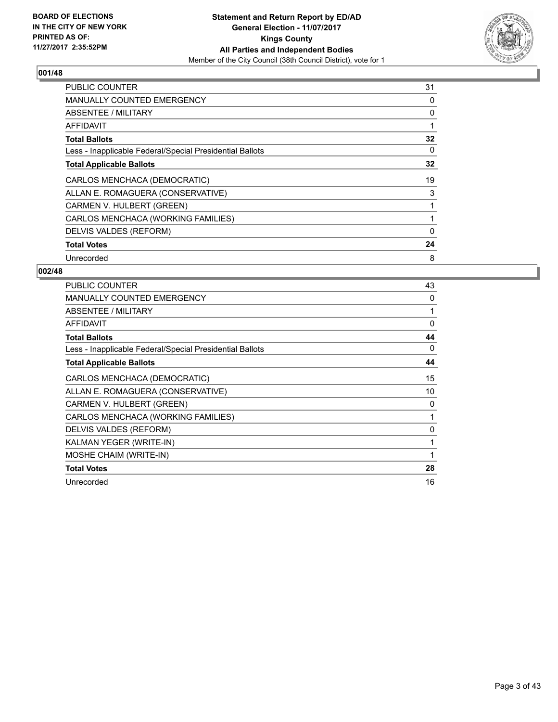

| <b>PUBLIC COUNTER</b>                                    | 31 |
|----------------------------------------------------------|----|
| <b>MANUALLY COUNTED EMERGENCY</b>                        | 0  |
| ABSENTEE / MILITARY                                      | 0  |
| AFFIDAVIT                                                |    |
| <b>Total Ballots</b>                                     | 32 |
| Less - Inapplicable Federal/Special Presidential Ballots | 0  |
| <b>Total Applicable Ballots</b>                          | 32 |
| CARLOS MENCHACA (DEMOCRATIC)                             | 19 |
| ALLAN E. ROMAGUERA (CONSERVATIVE)                        | 3  |
| CARMEN V. HULBERT (GREEN)                                |    |
| CARLOS MENCHACA (WORKING FAMILIES)                       |    |
| DELVIS VALDES (REFORM)                                   | 0  |
| <b>Total Votes</b>                                       | 24 |
| Unrecorded                                               | 8  |

| <b>PUBLIC COUNTER</b>                                    | 43           |
|----------------------------------------------------------|--------------|
| MANUALLY COUNTED EMERGENCY                               | 0            |
| ABSENTEE / MILITARY                                      | 1            |
| <b>AFFIDAVIT</b>                                         | $\mathbf{0}$ |
| <b>Total Ballots</b>                                     | 44           |
| Less - Inapplicable Federal/Special Presidential Ballots | 0            |
| <b>Total Applicable Ballots</b>                          | 44           |
| CARLOS MENCHACA (DEMOCRATIC)                             | 15           |
| ALLAN E. ROMAGUERA (CONSERVATIVE)                        | 10           |
| CARMEN V. HULBERT (GREEN)                                | 0            |
| CARLOS MENCHACA (WORKING FAMILIES)                       | 1            |
| DELVIS VALDES (REFORM)                                   | 0            |
| KALMAN YEGER (WRITE-IN)                                  | 1            |
| MOSHE CHAIM (WRITE-IN)                                   | 1            |
| <b>Total Votes</b>                                       | 28           |
| Unrecorded                                               | 16           |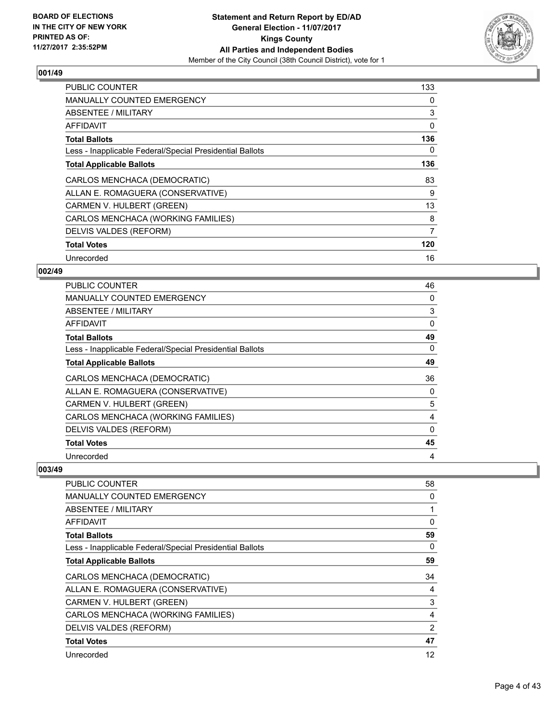

| <b>PUBLIC COUNTER</b>                                    | 133 |
|----------------------------------------------------------|-----|
| <b>MANUALLY COUNTED EMERGENCY</b>                        | 0   |
| ABSENTEE / MILITARY                                      | 3   |
| AFFIDAVIT                                                | 0   |
| <b>Total Ballots</b>                                     | 136 |
| Less - Inapplicable Federal/Special Presidential Ballots | 0   |
| <b>Total Applicable Ballots</b>                          | 136 |
| CARLOS MENCHACA (DEMOCRATIC)                             | 83  |
| ALLAN E. ROMAGUERA (CONSERVATIVE)                        | 9   |
| CARMEN V. HULBERT (GREEN)                                | 13  |
| CARLOS MENCHACA (WORKING FAMILIES)                       | 8   |
| DELVIS VALDES (REFORM)                                   | 7   |
| <b>Total Votes</b>                                       | 120 |
| Unrecorded                                               | 16  |

## **002/49**

| <b>PUBLIC COUNTER</b>                                    | 46       |
|----------------------------------------------------------|----------|
| <b>MANUALLY COUNTED EMERGENCY</b>                        | 0        |
| ABSENTEE / MILITARY                                      | 3        |
| AFFIDAVIT                                                | $\Omega$ |
| <b>Total Ballots</b>                                     | 49       |
| Less - Inapplicable Federal/Special Presidential Ballots | 0        |
| <b>Total Applicable Ballots</b>                          | 49       |
| CARLOS MENCHACA (DEMOCRATIC)                             | 36       |
| ALLAN E. ROMAGUERA (CONSERVATIVE)                        | 0        |
| CARMEN V. HULBERT (GREEN)                                | 5        |
| CARLOS MENCHACA (WORKING FAMILIES)                       | 4        |
| DELVIS VALDES (REFORM)                                   | $\Omega$ |
| <b>Total Votes</b>                                       | 45       |
| Unrecorded                                               | 4        |

| <b>PUBLIC COUNTER</b>                                    | 58       |
|----------------------------------------------------------|----------|
| <b>MANUALLY COUNTED EMERGENCY</b>                        | 0        |
| ABSENTEE / MILITARY                                      |          |
| <b>AFFIDAVIT</b>                                         | 0        |
| <b>Total Ballots</b>                                     | 59       |
| Less - Inapplicable Federal/Special Presidential Ballots | $\Omega$ |
| <b>Total Applicable Ballots</b>                          | 59       |
| CARLOS MENCHACA (DEMOCRATIC)                             | 34       |
| ALLAN E. ROMAGUERA (CONSERVATIVE)                        | 4        |
| CARMEN V. HULBERT (GREEN)                                | 3        |
| CARLOS MENCHACA (WORKING FAMILIES)                       | 4        |
| DELVIS VALDES (REFORM)                                   | 2        |
| <b>Total Votes</b>                                       | 47       |
| Unrecorded                                               | 12       |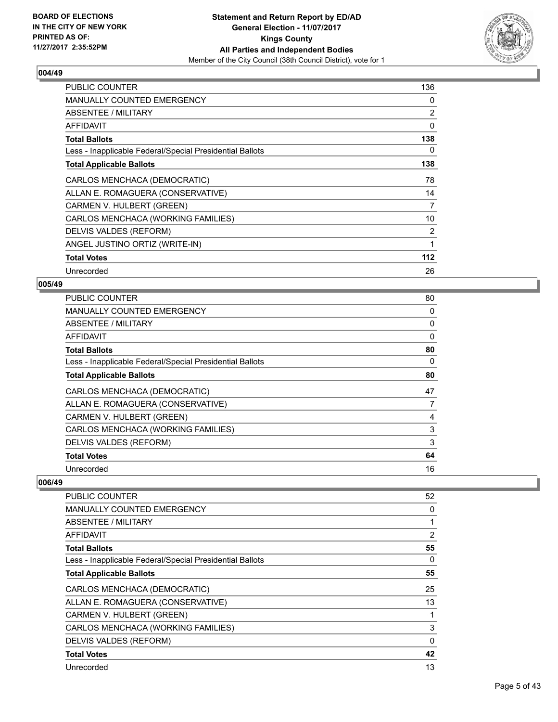

| <b>PUBLIC COUNTER</b>                                    | 136 |
|----------------------------------------------------------|-----|
| <b>MANUALLY COUNTED EMERGENCY</b>                        | 0   |
| ABSENTEE / MILITARY                                      | 2   |
| AFFIDAVIT                                                | 0   |
| <b>Total Ballots</b>                                     | 138 |
| Less - Inapplicable Federal/Special Presidential Ballots | 0   |
| <b>Total Applicable Ballots</b>                          | 138 |
| CARLOS MENCHACA (DEMOCRATIC)                             | 78  |
| ALLAN E. ROMAGUERA (CONSERVATIVE)                        | 14  |
| CARMEN V. HULBERT (GREEN)                                | 7   |
| CARLOS MENCHACA (WORKING FAMILIES)                       | 10  |
| DELVIS VALDES (REFORM)                                   | 2   |
| ANGEL JUSTINO ORTIZ (WRITE-IN)                           | 1   |
| <b>Total Votes</b>                                       | 112 |
| Unrecorded                                               | 26  |

# **005/49**

| <b>PUBLIC COUNTER</b>                                    | 80       |
|----------------------------------------------------------|----------|
| MANUALLY COUNTED EMERGENCY                               | 0        |
| ABSENTEE / MILITARY                                      | 0        |
| AFFIDAVIT                                                | $\Omega$ |
| <b>Total Ballots</b>                                     | 80       |
| Less - Inapplicable Federal/Special Presidential Ballots | 0        |
| <b>Total Applicable Ballots</b>                          | 80       |
| CARLOS MENCHACA (DEMOCRATIC)                             | 47       |
| ALLAN E. ROMAGUERA (CONSERVATIVE)                        | 7        |
| CARMEN V. HULBERT (GREEN)                                | 4        |
| CARLOS MENCHACA (WORKING FAMILIES)                       | 3        |
| DELVIS VALDES (REFORM)                                   | 3        |
| <b>Total Votes</b>                                       | 64       |
| Unrecorded                                               | 16       |

| <b>PUBLIC COUNTER</b>                                    | 52 |
|----------------------------------------------------------|----|
| <b>MANUALLY COUNTED EMERGENCY</b>                        | 0  |
| ABSENTEE / MILITARY                                      | 1  |
| AFFIDAVIT                                                | 2  |
| <b>Total Ballots</b>                                     | 55 |
| Less - Inapplicable Federal/Special Presidential Ballots | 0  |
| <b>Total Applicable Ballots</b>                          | 55 |
| CARLOS MENCHACA (DEMOCRATIC)                             | 25 |
| ALLAN E. ROMAGUERA (CONSERVATIVE)                        | 13 |
| CARMEN V. HULBERT (GREEN)                                | 1  |
| CARLOS MENCHACA (WORKING FAMILIES)                       | 3  |
| DELVIS VALDES (REFORM)                                   | 0  |
| <b>Total Votes</b>                                       | 42 |
| Unrecorded                                               | 13 |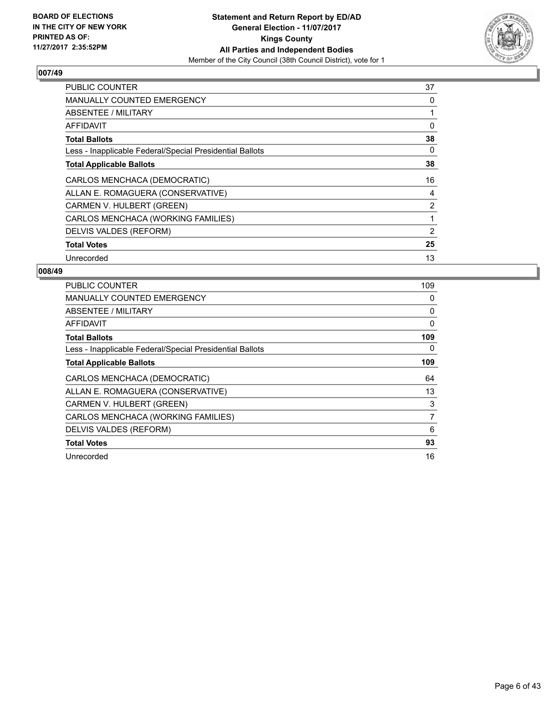

| <b>PUBLIC COUNTER</b>                                    | 37             |
|----------------------------------------------------------|----------------|
| <b>MANUALLY COUNTED EMERGENCY</b>                        | 0              |
| ABSENTEE / MILITARY                                      |                |
| AFFIDAVIT                                                | 0              |
| <b>Total Ballots</b>                                     | 38             |
| Less - Inapplicable Federal/Special Presidential Ballots | 0              |
| <b>Total Applicable Ballots</b>                          | 38             |
| CARLOS MENCHACA (DEMOCRATIC)                             | 16             |
| ALLAN E. ROMAGUERA (CONSERVATIVE)                        | 4              |
| CARMEN V. HULBERT (GREEN)                                | $\overline{2}$ |
| CARLOS MENCHACA (WORKING FAMILIES)                       |                |
| DELVIS VALDES (REFORM)                                   | 2              |
| <b>Total Votes</b>                                       | 25             |
| Unrecorded                                               | 13             |

| <b>PUBLIC COUNTER</b>                                    | 109 |
|----------------------------------------------------------|-----|
| <b>MANUALLY COUNTED EMERGENCY</b>                        | 0   |
| ABSENTEE / MILITARY                                      | 0   |
| AFFIDAVIT                                                | 0   |
| <b>Total Ballots</b>                                     | 109 |
| Less - Inapplicable Federal/Special Presidential Ballots | 0   |
| <b>Total Applicable Ballots</b>                          | 109 |
| CARLOS MENCHACA (DEMOCRATIC)                             | 64  |
| ALLAN E. ROMAGUERA (CONSERVATIVE)                        | 13  |
| CARMEN V. HULBERT (GREEN)                                | 3   |
| CARLOS MENCHACA (WORKING FAMILIES)                       | 7   |
| DELVIS VALDES (REFORM)                                   | 6   |
| <b>Total Votes</b>                                       | 93  |
| Unrecorded                                               |     |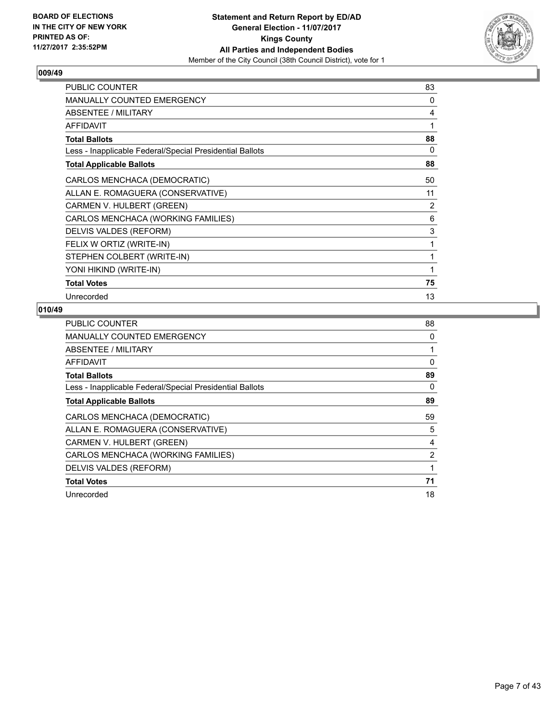

| <b>PUBLIC COUNTER</b>                                    | 83 |
|----------------------------------------------------------|----|
| MANUALLY COUNTED EMERGENCY                               | 0  |
| <b>ABSENTEE / MILITARY</b>                               | 4  |
| AFFIDAVIT                                                | 1  |
| <b>Total Ballots</b>                                     | 88 |
| Less - Inapplicable Federal/Special Presidential Ballots | 0  |
| <b>Total Applicable Ballots</b>                          | 88 |
| CARLOS MENCHACA (DEMOCRATIC)                             | 50 |
| ALLAN E. ROMAGUERA (CONSERVATIVE)                        | 11 |
| CARMEN V. HULBERT (GREEN)                                | 2  |
| CARLOS MENCHACA (WORKING FAMILIES)                       | 6  |
| DELVIS VALDES (REFORM)                                   | 3  |
| FELIX W ORTIZ (WRITE-IN)                                 | 1  |
| STEPHEN COLBERT (WRITE-IN)                               | 1  |
| YONI HIKIND (WRITE-IN)                                   | 1  |
| <b>Total Votes</b>                                       | 75 |
| Unrecorded                                               | 13 |

| PUBLIC COUNTER                                           | 88 |
|----------------------------------------------------------|----|
| <b>MANUALLY COUNTED EMERGENCY</b>                        | 0  |
| ABSENTEE / MILITARY                                      |    |
| AFFIDAVIT                                                | 0  |
| <b>Total Ballots</b>                                     | 89 |
| Less - Inapplicable Federal/Special Presidential Ballots | 0  |
| <b>Total Applicable Ballots</b>                          | 89 |
| CARLOS MENCHACA (DEMOCRATIC)                             | 59 |
| ALLAN E. ROMAGUERA (CONSERVATIVE)                        | 5  |
| CARMEN V. HULBERT (GREEN)                                | 4  |
| CARLOS MENCHACA (WORKING FAMILIES)                       | 2  |
| DELVIS VALDES (REFORM)                                   |    |
| <b>Total Votes</b>                                       | 71 |
| Unrecorded                                               | 18 |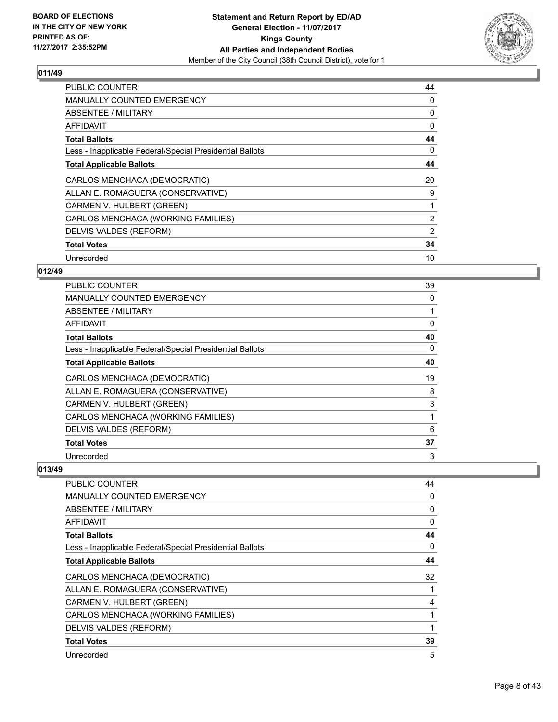

| <b>PUBLIC COUNTER</b>                                    | 44             |
|----------------------------------------------------------|----------------|
| <b>MANUALLY COUNTED EMERGENCY</b>                        | 0              |
| <b>ABSENTEE / MILITARY</b>                               | 0              |
| AFFIDAVIT                                                | $\Omega$       |
| <b>Total Ballots</b>                                     | 44             |
| Less - Inapplicable Federal/Special Presidential Ballots | 0              |
| <b>Total Applicable Ballots</b>                          | 44             |
| CARLOS MENCHACA (DEMOCRATIC)                             | 20             |
| ALLAN E. ROMAGUERA (CONSERVATIVE)                        | 9              |
| CARMEN V. HULBERT (GREEN)                                |                |
| CARLOS MENCHACA (WORKING FAMILIES)                       | $\overline{2}$ |
| DELVIS VALDES (REFORM)                                   | 2              |
| <b>Total Votes</b>                                       | 34             |
| Unrecorded                                               | 10             |

## **012/49**

| <b>PUBLIC COUNTER</b>                                    | 39       |
|----------------------------------------------------------|----------|
| <b>MANUALLY COUNTED EMERGENCY</b>                        | 0        |
| ABSENTEE / MILITARY                                      |          |
| AFFIDAVIT                                                | $\Omega$ |
| <b>Total Ballots</b>                                     | 40       |
| Less - Inapplicable Federal/Special Presidential Ballots | 0        |
| <b>Total Applicable Ballots</b>                          | 40       |
| CARLOS MENCHACA (DEMOCRATIC)                             | 19       |
| ALLAN E. ROMAGUERA (CONSERVATIVE)                        | 8        |
| CARMEN V. HULBERT (GREEN)                                | 3        |
| CARLOS MENCHACA (WORKING FAMILIES)                       |          |
| DELVIS VALDES (REFORM)                                   | 6        |
| <b>Total Votes</b>                                       | 37       |
| Unrecorded                                               | 3        |

| <b>PUBLIC COUNTER</b>                                    | 44 |
|----------------------------------------------------------|----|
| <b>MANUALLY COUNTED EMERGENCY</b>                        | 0  |
| ABSENTEE / MILITARY                                      | 0  |
| <b>AFFIDAVIT</b>                                         | 0  |
| <b>Total Ballots</b>                                     | 44 |
| Less - Inapplicable Federal/Special Presidential Ballots | 0  |
| <b>Total Applicable Ballots</b>                          | 44 |
| CARLOS MENCHACA (DEMOCRATIC)                             | 32 |
| ALLAN E. ROMAGUERA (CONSERVATIVE)                        | 1  |
| CARMEN V. HULBERT (GREEN)                                | 4  |
| CARLOS MENCHACA (WORKING FAMILIES)                       |    |
| DELVIS VALDES (REFORM)                                   | 1  |
| <b>Total Votes</b>                                       | 39 |
| Unrecorded                                               | 5  |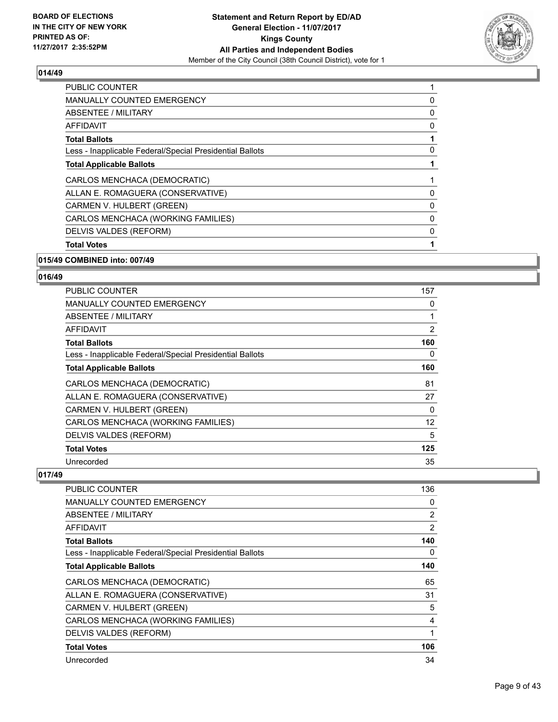

| <b>PUBLIC COUNTER</b>                                    | 1 |
|----------------------------------------------------------|---|
| <b>MANUALLY COUNTED EMERGENCY</b>                        | 0 |
| ABSENTEE / MILITARY                                      | 0 |
| AFFIDAVIT                                                | 0 |
| <b>Total Ballots</b>                                     | 1 |
| Less - Inapplicable Federal/Special Presidential Ballots | 0 |
| <b>Total Applicable Ballots</b>                          |   |
| CARLOS MENCHACA (DEMOCRATIC)                             | 1 |
| ALLAN E. ROMAGUERA (CONSERVATIVE)                        | 0 |
| CARMEN V. HULBERT (GREEN)                                | 0 |
| CARLOS MENCHACA (WORKING FAMILIES)                       | 0 |
| DELVIS VALDES (REFORM)                                   | 0 |
| <b>Total Votes</b>                                       |   |
|                                                          |   |

#### **015/49 COMBINED into: 007/49**

## **016/49**

| PUBLIC COUNTER                                           | 157 |
|----------------------------------------------------------|-----|
| <b>MANUALLY COUNTED EMERGENCY</b>                        | 0   |
| ABSENTEE / MILITARY                                      | 1   |
| AFFIDAVIT                                                | 2   |
| <b>Total Ballots</b>                                     | 160 |
| Less - Inapplicable Federal/Special Presidential Ballots | 0   |
| <b>Total Applicable Ballots</b>                          | 160 |
| CARLOS MENCHACA (DEMOCRATIC)                             | 81  |
| ALLAN E. ROMAGUERA (CONSERVATIVE)                        | 27  |
| CARMEN V. HULBERT (GREEN)                                | 0   |
| CARLOS MENCHACA (WORKING FAMILIES)                       | 12  |
| DELVIS VALDES (REFORM)                                   | 5   |
| <b>Total Votes</b>                                       | 125 |
| Unrecorded                                               | 35  |

| <b>PUBLIC COUNTER</b>                                    | 136 |
|----------------------------------------------------------|-----|
| <b>MANUALLY COUNTED EMERGENCY</b>                        | 0   |
| ABSENTEE / MILITARY                                      | 2   |
| AFFIDAVIT                                                | 2   |
| <b>Total Ballots</b>                                     | 140 |
| Less - Inapplicable Federal/Special Presidential Ballots | 0   |
| <b>Total Applicable Ballots</b>                          | 140 |
| CARLOS MENCHACA (DEMOCRATIC)                             | 65  |
| ALLAN E. ROMAGUERA (CONSERVATIVE)                        | 31  |
| CARMEN V. HULBERT (GREEN)                                | 5   |
| CARLOS MENCHACA (WORKING FAMILIES)                       | 4   |
| DELVIS VALDES (REFORM)                                   | 1   |
| <b>Total Votes</b>                                       | 106 |
| Unrecorded                                               | 34  |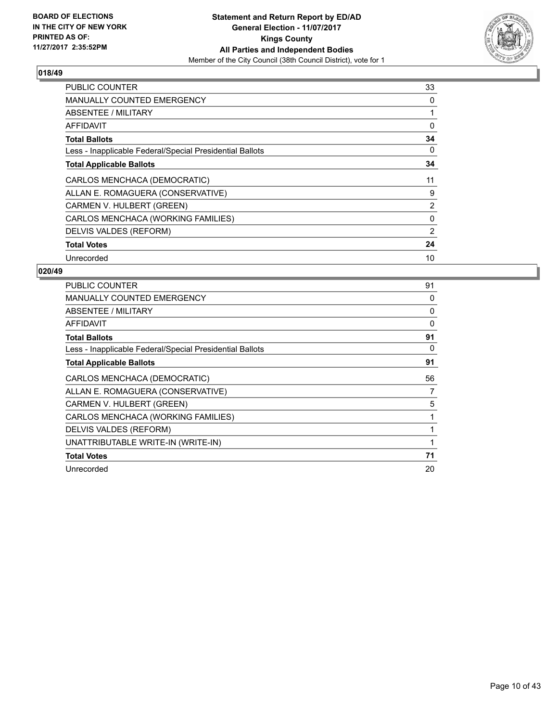

| <b>PUBLIC COUNTER</b>                                    | 33             |
|----------------------------------------------------------|----------------|
| <b>MANUALLY COUNTED EMERGENCY</b>                        | 0              |
| <b>ABSENTEE / MILITARY</b>                               |                |
| <b>AFFIDAVIT</b>                                         | 0              |
| <b>Total Ballots</b>                                     | 34             |
| Less - Inapplicable Federal/Special Presidential Ballots | 0              |
| <b>Total Applicable Ballots</b>                          | 34             |
| CARLOS MENCHACA (DEMOCRATIC)                             | 11             |
| ALLAN E. ROMAGUERA (CONSERVATIVE)                        | 9              |
| CARMEN V. HULBERT (GREEN)                                | $\overline{2}$ |
| CARLOS MENCHACA (WORKING FAMILIES)                       | 0              |
| DELVIS VALDES (REFORM)                                   | 2              |
| <b>Total Votes</b>                                       | 24             |
| Unrecorded                                               | 10             |

| <b>PUBLIC COUNTER</b>                                    | 91 |
|----------------------------------------------------------|----|
| <b>MANUALLY COUNTED EMERGENCY</b>                        | 0  |
| ABSENTEE / MILITARY                                      | 0  |
| AFFIDAVIT                                                | 0  |
| <b>Total Ballots</b>                                     | 91 |
| Less - Inapplicable Federal/Special Presidential Ballots | 0  |
| <b>Total Applicable Ballots</b>                          | 91 |
| CARLOS MENCHACA (DEMOCRATIC)                             | 56 |
| ALLAN E. ROMAGUERA (CONSERVATIVE)                        | 7  |
| CARMEN V. HULBERT (GREEN)                                | 5  |
| CARLOS MENCHACA (WORKING FAMILIES)                       |    |
| DELVIS VALDES (REFORM)                                   |    |
| UNATTRIBUTABLE WRITE-IN (WRITE-IN)                       |    |
| <b>Total Votes</b>                                       | 71 |
| Unrecorded                                               | 20 |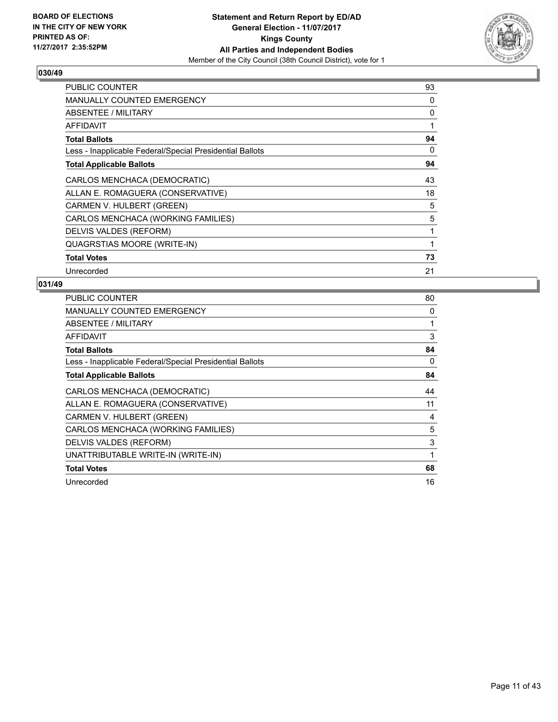

| <b>PUBLIC COUNTER</b>                                    | 93 |
|----------------------------------------------------------|----|
| <b>MANUALLY COUNTED EMERGENCY</b>                        | 0  |
| ABSENTEE / MILITARY                                      | 0  |
| AFFIDAVIT                                                | 1  |
| <b>Total Ballots</b>                                     | 94 |
| Less - Inapplicable Federal/Special Presidential Ballots | 0  |
| <b>Total Applicable Ballots</b>                          | 94 |
| CARLOS MENCHACA (DEMOCRATIC)                             | 43 |
| ALLAN E. ROMAGUERA (CONSERVATIVE)                        | 18 |
| CARMEN V. HULBERT (GREEN)                                | 5  |
| CARLOS MENCHACA (WORKING FAMILIES)                       | 5  |
| DELVIS VALDES (REFORM)                                   | 1  |
| <b>QUAGRSTIAS MOORE (WRITE-IN)</b>                       | 1  |
| <b>Total Votes</b>                                       | 73 |
| Unrecorded                                               | 21 |

| PUBLIC COUNTER                                           | 80           |
|----------------------------------------------------------|--------------|
| <b>MANUALLY COUNTED EMERGENCY</b>                        | 0            |
| <b>ABSENTEE / MILITARY</b>                               | 1            |
| AFFIDAVIT                                                | 3            |
| <b>Total Ballots</b>                                     | 84           |
| Less - Inapplicable Federal/Special Presidential Ballots | 0            |
| <b>Total Applicable Ballots</b>                          | 84           |
| CARLOS MENCHACA (DEMOCRATIC)                             | 44           |
| ALLAN E. ROMAGUERA (CONSERVATIVE)                        | 11           |
| CARMEN V. HULBERT (GREEN)                                | 4            |
| CARLOS MENCHACA (WORKING FAMILIES)                       | 5            |
| DELVIS VALDES (REFORM)                                   | 3            |
| UNATTRIBUTABLE WRITE-IN (WRITE-IN)                       | $\mathbf{1}$ |
| <b>Total Votes</b>                                       | 68           |
| Unrecorded                                               | 16           |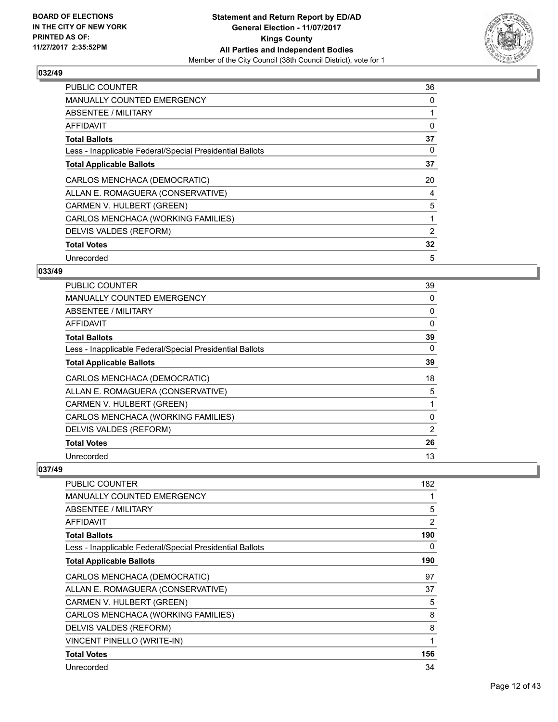

| <b>PUBLIC COUNTER</b>                                    | 36 |
|----------------------------------------------------------|----|
| <b>MANUALLY COUNTED EMERGENCY</b>                        | 0  |
| <b>ABSENTEE / MILITARY</b>                               | 1  |
| AFFIDAVIT                                                | 0  |
| <b>Total Ballots</b>                                     | 37 |
| Less - Inapplicable Federal/Special Presidential Ballots | 0  |
| <b>Total Applicable Ballots</b>                          | 37 |
| CARLOS MENCHACA (DEMOCRATIC)                             | 20 |
| ALLAN E. ROMAGUERA (CONSERVATIVE)                        | 4  |
| CARMEN V. HULBERT (GREEN)                                | 5  |
| CARLOS MENCHACA (WORKING FAMILIES)                       | 1  |
| DELVIS VALDES (REFORM)                                   | 2  |
| <b>Total Votes</b>                                       | 32 |
| Unrecorded                                               | 5  |

## **033/49**

| <b>PUBLIC COUNTER</b>                                    | 39             |
|----------------------------------------------------------|----------------|
| <b>MANUALLY COUNTED EMERGENCY</b>                        | 0              |
| ABSENTEE / MILITARY                                      | 0              |
| AFFIDAVIT                                                | $\Omega$       |
| <b>Total Ballots</b>                                     | 39             |
| Less - Inapplicable Federal/Special Presidential Ballots | 0              |
| <b>Total Applicable Ballots</b>                          | 39             |
| CARLOS MENCHACA (DEMOCRATIC)                             | 18             |
| ALLAN E. ROMAGUERA (CONSERVATIVE)                        | 5              |
| CARMEN V. HULBERT (GREEN)                                | 1              |
| CARLOS MENCHACA (WORKING FAMILIES)                       | 0              |
| DELVIS VALDES (REFORM)                                   | $\overline{2}$ |
| <b>Total Votes</b>                                       | 26             |
| Unrecorded                                               | 13             |

| <b>PUBLIC COUNTER</b>                                    | 182 |
|----------------------------------------------------------|-----|
| <b>MANUALLY COUNTED EMERGENCY</b>                        | 1   |
| <b>ABSENTEE / MILITARY</b>                               | 5   |
| AFFIDAVIT                                                | 2   |
| <b>Total Ballots</b>                                     | 190 |
| Less - Inapplicable Federal/Special Presidential Ballots | 0   |
| <b>Total Applicable Ballots</b>                          | 190 |
| CARLOS MENCHACA (DEMOCRATIC)                             | 97  |
| ALLAN E. ROMAGUERA (CONSERVATIVE)                        | 37  |
| CARMEN V. HULBERT (GREEN)                                | 5   |
| CARLOS MENCHACA (WORKING FAMILIES)                       | 8   |
| DELVIS VALDES (REFORM)                                   | 8   |
| VINCENT PINELLO (WRITE-IN)                               | 1   |
| <b>Total Votes</b>                                       | 156 |
| Unrecorded                                               | 34  |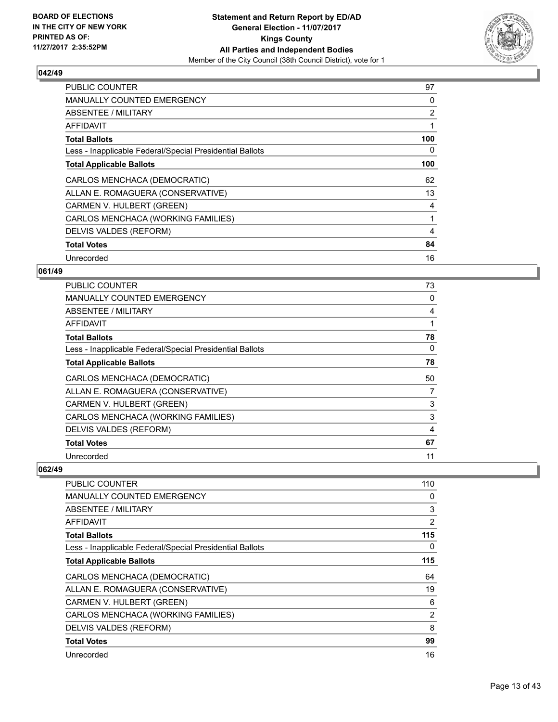

| <b>PUBLIC COUNTER</b>                                    | 97  |
|----------------------------------------------------------|-----|
| <b>MANUALLY COUNTED EMERGENCY</b>                        | 0   |
| <b>ABSENTEE / MILITARY</b>                               | 2   |
| AFFIDAVIT                                                |     |
| <b>Total Ballots</b>                                     | 100 |
| Less - Inapplicable Federal/Special Presidential Ballots | 0   |
| <b>Total Applicable Ballots</b>                          | 100 |
| CARLOS MENCHACA (DEMOCRATIC)                             | 62  |
| ALLAN E. ROMAGUERA (CONSERVATIVE)                        | 13  |
| CARMEN V. HULBERT (GREEN)                                | 4   |
| CARLOS MENCHACA (WORKING FAMILIES)                       |     |
| DELVIS VALDES (REFORM)                                   | 4   |
| <b>Total Votes</b>                                       | 84  |
| Unrecorded                                               | 16  |

## **061/49**

| <b>PUBLIC COUNTER</b>                                    | 73 |
|----------------------------------------------------------|----|
| MANUALLY COUNTED EMERGENCY                               | 0  |
| ABSENTEE / MILITARY                                      | 4  |
| AFFIDAVIT                                                |    |
| <b>Total Ballots</b>                                     | 78 |
| Less - Inapplicable Federal/Special Presidential Ballots | 0  |
| <b>Total Applicable Ballots</b>                          | 78 |
| CARLOS MENCHACA (DEMOCRATIC)                             | 50 |
| ALLAN E. ROMAGUERA (CONSERVATIVE)                        | 7  |
| CARMEN V. HULBERT (GREEN)                                | 3  |
| CARLOS MENCHACA (WORKING FAMILIES)                       | 3  |
| DELVIS VALDES (REFORM)                                   | 4  |
| <b>Total Votes</b>                                       | 67 |
| Unrecorded                                               | 11 |

| <b>PUBLIC COUNTER</b>                                    | 110 |
|----------------------------------------------------------|-----|
| <b>MANUALLY COUNTED EMERGENCY</b>                        | 0   |
| ABSENTEE / MILITARY                                      | 3   |
| AFFIDAVIT                                                | 2   |
| <b>Total Ballots</b>                                     | 115 |
| Less - Inapplicable Federal/Special Presidential Ballots | 0   |
| <b>Total Applicable Ballots</b>                          | 115 |
| CARLOS MENCHACA (DEMOCRATIC)                             | 64  |
| ALLAN E. ROMAGUERA (CONSERVATIVE)                        | 19  |
| CARMEN V. HULBERT (GREEN)                                | 6   |
| CARLOS MENCHACA (WORKING FAMILIES)                       | 2   |
| DELVIS VALDES (REFORM)                                   | 8   |
| <b>Total Votes</b>                                       | 99  |
| Unrecorded                                               | 16  |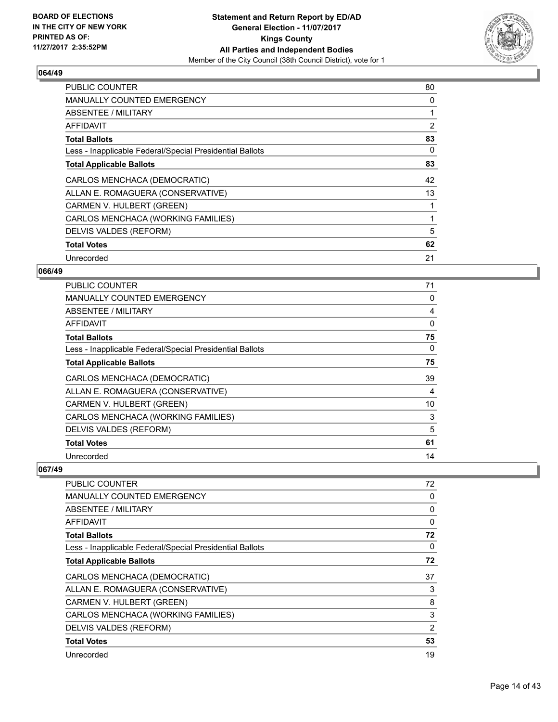

| <b>PUBLIC COUNTER</b>                                    | 80 |
|----------------------------------------------------------|----|
| <b>MANUALLY COUNTED EMERGENCY</b>                        | 0  |
| <b>ABSENTEE / MILITARY</b>                               |    |
| AFFIDAVIT                                                | 2  |
| <b>Total Ballots</b>                                     | 83 |
| Less - Inapplicable Federal/Special Presidential Ballots | 0  |
| <b>Total Applicable Ballots</b>                          | 83 |
| CARLOS MENCHACA (DEMOCRATIC)                             | 42 |
| ALLAN E. ROMAGUERA (CONSERVATIVE)                        | 13 |
| CARMEN V. HULBERT (GREEN)                                |    |
| CARLOS MENCHACA (WORKING FAMILIES)                       |    |
| DELVIS VALDES (REFORM)                                   | 5  |
| <b>Total Votes</b>                                       | 62 |
| Unrecorded                                               | 21 |

## **066/49**

| <b>PUBLIC COUNTER</b>                                    | 71       |
|----------------------------------------------------------|----------|
| <b>MANUALLY COUNTED EMERGENCY</b>                        | 0        |
| ABSENTEE / MILITARY                                      | 4        |
| AFFIDAVIT                                                | $\Omega$ |
| <b>Total Ballots</b>                                     | 75       |
| Less - Inapplicable Federal/Special Presidential Ballots | 0        |
| <b>Total Applicable Ballots</b>                          | 75       |
| CARLOS MENCHACA (DEMOCRATIC)                             | 39       |
| ALLAN E. ROMAGUERA (CONSERVATIVE)                        | 4        |
| CARMEN V. HULBERT (GREEN)                                | 10       |
| CARLOS MENCHACA (WORKING FAMILIES)                       | 3        |
|                                                          | 5        |
| DELVIS VALDES (REFORM)                                   |          |
| <b>Total Votes</b>                                       | 61       |

| <b>PUBLIC COUNTER</b>                                    | 72             |
|----------------------------------------------------------|----------------|
| <b>MANUALLY COUNTED EMERGENCY</b>                        | 0              |
| ABSENTEE / MILITARY                                      | 0              |
| AFFIDAVIT                                                | 0              |
| <b>Total Ballots</b>                                     | 72             |
| Less - Inapplicable Federal/Special Presidential Ballots | 0              |
| <b>Total Applicable Ballots</b>                          | 72             |
| CARLOS MENCHACA (DEMOCRATIC)                             | 37             |
| ALLAN E. ROMAGUERA (CONSERVATIVE)                        | 3              |
| CARMEN V. HULBERT (GREEN)                                | 8              |
| CARLOS MENCHACA (WORKING FAMILIES)                       | 3              |
| DELVIS VALDES (REFORM)                                   | $\overline{2}$ |
| <b>Total Votes</b>                                       | 53             |
| Unrecorded                                               | 19             |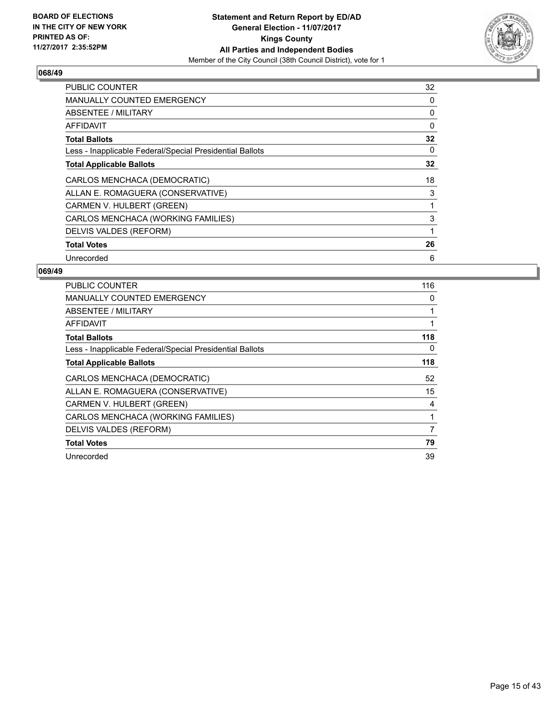

| <b>PUBLIC COUNTER</b>                                    | 32       |
|----------------------------------------------------------|----------|
| <b>MANUALLY COUNTED EMERGENCY</b>                        | 0        |
| <b>ABSENTEE / MILITARY</b>                               | 0        |
| <b>AFFIDAVIT</b>                                         | $\Omega$ |
| <b>Total Ballots</b>                                     | 32       |
| Less - Inapplicable Federal/Special Presidential Ballots | 0        |
| <b>Total Applicable Ballots</b>                          | 32       |
| CARLOS MENCHACA (DEMOCRATIC)                             | 18       |
| ALLAN E. ROMAGUERA (CONSERVATIVE)                        | 3        |
|                                                          |          |
| CARMEN V. HULBERT (GREEN)                                |          |
| CARLOS MENCHACA (WORKING FAMILIES)                       | 3        |
| DELVIS VALDES (REFORM)                                   |          |
| <b>Total Votes</b>                                       | 26       |

| <b>PUBLIC COUNTER</b>                                    | 116 |
|----------------------------------------------------------|-----|
| <b>MANUALLY COUNTED EMERGENCY</b>                        | 0   |
| ABSENTEE / MILITARY                                      | 1   |
| AFFIDAVIT                                                | 1   |
| <b>Total Ballots</b>                                     | 118 |
| Less - Inapplicable Federal/Special Presidential Ballots | 0   |
| <b>Total Applicable Ballots</b>                          | 118 |
| CARLOS MENCHACA (DEMOCRATIC)                             | 52  |
| ALLAN E. ROMAGUERA (CONSERVATIVE)                        | 15  |
| CARMEN V. HULBERT (GREEN)                                | 4   |
| CARLOS MENCHACA (WORKING FAMILIES)                       | 1   |
| DELVIS VALDES (REFORM)                                   | 7   |
| <b>Total Votes</b>                                       | 79  |
| Unrecorded                                               | 39  |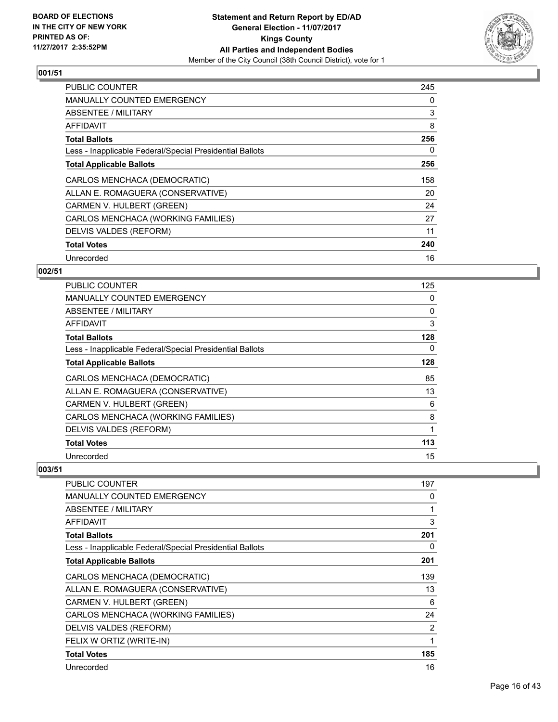

| <b>PUBLIC COUNTER</b>                                    | 245 |
|----------------------------------------------------------|-----|
| MANUALLY COUNTED EMERGENCY                               | 0   |
| <b>ABSENTEE / MILITARY</b>                               | 3   |
| AFFIDAVIT                                                | 8   |
| <b>Total Ballots</b>                                     | 256 |
| Less - Inapplicable Federal/Special Presidential Ballots | 0   |
| <b>Total Applicable Ballots</b>                          | 256 |
| CARLOS MENCHACA (DEMOCRATIC)                             | 158 |
| ALLAN E. ROMAGUERA (CONSERVATIVE)                        | 20  |
| CARMEN V. HULBERT (GREEN)                                | 24  |
| CARLOS MENCHACA (WORKING FAMILIES)                       | 27  |
| DELVIS VALDES (REFORM)                                   | 11  |
| <b>Total Votes</b>                                       | 240 |
| Unrecorded                                               | 16  |

## **002/51**

| <b>PUBLIC COUNTER</b>                                    | 125 |
|----------------------------------------------------------|-----|
| <b>MANUALLY COUNTED EMERGENCY</b>                        | 0   |
| ABSENTEE / MILITARY                                      | 0   |
| AFFIDAVIT                                                | 3   |
| <b>Total Ballots</b>                                     | 128 |
| Less - Inapplicable Federal/Special Presidential Ballots | 0   |
| <b>Total Applicable Ballots</b>                          | 128 |
| CARLOS MENCHACA (DEMOCRATIC)                             | 85  |
| ALLAN E. ROMAGUERA (CONSERVATIVE)                        | 13  |
| CARMEN V. HULBERT (GREEN)                                | 6   |
| CARLOS MENCHACA (WORKING FAMILIES)                       | 8   |
| DELVIS VALDES (REFORM)                                   | 1   |
| <b>Total Votes</b>                                       | 113 |
| Unrecorded                                               | 15  |

| PUBLIC COUNTER                                           | 197 |
|----------------------------------------------------------|-----|
| <b>MANUALLY COUNTED EMERGENCY</b>                        | 0   |
| <b>ABSENTEE / MILITARY</b>                               | 1   |
| AFFIDAVIT                                                | 3   |
| <b>Total Ballots</b>                                     | 201 |
| Less - Inapplicable Federal/Special Presidential Ballots | 0   |
| <b>Total Applicable Ballots</b>                          | 201 |
| CARLOS MENCHACA (DEMOCRATIC)                             | 139 |
| ALLAN E. ROMAGUERA (CONSERVATIVE)                        | 13  |
| CARMEN V. HULBERT (GREEN)                                | 6   |
| CARLOS MENCHACA (WORKING FAMILIES)                       | 24  |
| DELVIS VALDES (REFORM)                                   | 2   |
| FELIX W ORTIZ (WRITE-IN)                                 | 1   |
| <b>Total Votes</b>                                       | 185 |
| Unrecorded                                               | 16  |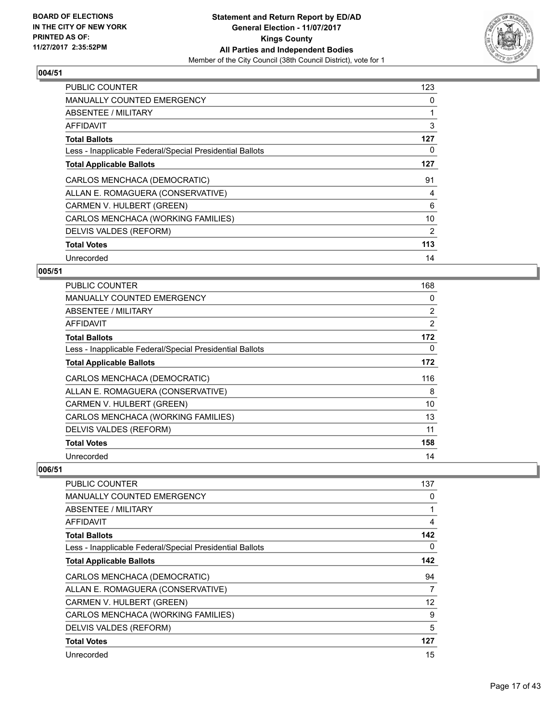

| <b>PUBLIC COUNTER</b>                                    | 123 |
|----------------------------------------------------------|-----|
| <b>MANUALLY COUNTED EMERGENCY</b>                        | 0   |
| ABSENTEE / MILITARY                                      |     |
| AFFIDAVIT                                                | 3   |
| <b>Total Ballots</b>                                     | 127 |
| Less - Inapplicable Federal/Special Presidential Ballots | 0   |
| <b>Total Applicable Ballots</b>                          | 127 |
| CARLOS MENCHACA (DEMOCRATIC)                             | 91  |
| ALLAN E. ROMAGUERA (CONSERVATIVE)                        | 4   |
| CARMEN V. HULBERT (GREEN)                                | 6   |
| CARLOS MENCHACA (WORKING FAMILIES)                       | 10  |
| DELVIS VALDES (REFORM)                                   | 2   |
| <b>Total Votes</b>                                       | 113 |
| Unrecorded                                               | 14  |

## **005/51**

| <b>PUBLIC COUNTER</b>                                    | 168            |
|----------------------------------------------------------|----------------|
| <b>MANUALLY COUNTED EMERGENCY</b>                        | 0              |
| ABSENTEE / MILITARY                                      | $\overline{2}$ |
| AFFIDAVIT                                                | 2              |
| <b>Total Ballots</b>                                     | 172            |
| Less - Inapplicable Federal/Special Presidential Ballots | 0              |
| <b>Total Applicable Ballots</b>                          | 172            |
| CARLOS MENCHACA (DEMOCRATIC)                             | 116            |
| ALLAN E. ROMAGUERA (CONSERVATIVE)                        | 8              |
| CARMEN V. HULBERT (GREEN)                                | 10             |
| CARLOS MENCHACA (WORKING FAMILIES)                       | 13             |
| DELVIS VALDES (REFORM)                                   | 11             |
| <b>Total Votes</b>                                       | 158            |
| Unrecorded                                               | 14             |

| <b>PUBLIC COUNTER</b>                                    | 137 |
|----------------------------------------------------------|-----|
|                                                          |     |
| <b>MANUALLY COUNTED EMERGENCY</b>                        | 0   |
| <b>ABSENTEE / MILITARY</b>                               | 1   |
| <b>AFFIDAVIT</b>                                         | 4   |
| <b>Total Ballots</b>                                     | 142 |
| Less - Inapplicable Federal/Special Presidential Ballots | 0   |
| <b>Total Applicable Ballots</b>                          | 142 |
| CARLOS MENCHACA (DEMOCRATIC)                             | 94  |
| ALLAN E. ROMAGUERA (CONSERVATIVE)                        | 7   |
| CARMEN V. HULBERT (GREEN)                                | 12  |
| CARLOS MENCHACA (WORKING FAMILIES)                       | 9   |
| DELVIS VALDES (REFORM)                                   | 5   |
| <b>Total Votes</b>                                       | 127 |
| Unrecorded                                               | 15  |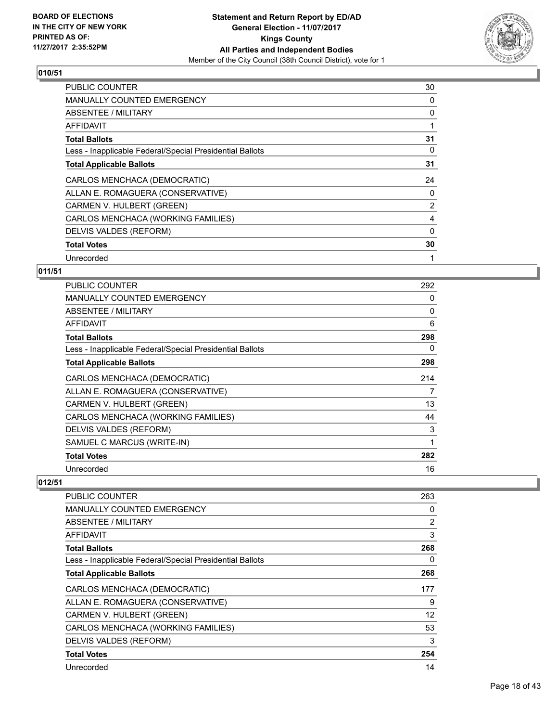

| <b>PUBLIC COUNTER</b>                                    | 30 |
|----------------------------------------------------------|----|
| <b>MANUALLY COUNTED EMERGENCY</b>                        | 0  |
| ABSENTEE / MILITARY                                      | 0  |
| AFFIDAVIT                                                |    |
| <b>Total Ballots</b>                                     | 31 |
| Less - Inapplicable Federal/Special Presidential Ballots | 0  |
| <b>Total Applicable Ballots</b>                          | 31 |
| CARLOS MENCHACA (DEMOCRATIC)                             | 24 |
| ALLAN E. ROMAGUERA (CONSERVATIVE)                        | 0  |
| CARMEN V. HULBERT (GREEN)                                | 2  |
| CARLOS MENCHACA (WORKING FAMILIES)                       | 4  |
| DELVIS VALDES (REFORM)                                   | 0  |
| <b>Total Votes</b>                                       | 30 |
| Unrecorded                                               | 1  |

## **011/51**

| <b>PUBLIC COUNTER</b>                                    | 292      |
|----------------------------------------------------------|----------|
| <b>MANUALLY COUNTED EMERGENCY</b>                        | 0        |
| ABSENTEE / MILITARY                                      | $\Omega$ |
| AFFIDAVIT                                                | 6        |
| <b>Total Ballots</b>                                     | 298      |
| Less - Inapplicable Federal/Special Presidential Ballots | 0        |
| <b>Total Applicable Ballots</b>                          | 298      |
| CARLOS MENCHACA (DEMOCRATIC)                             | 214      |
| ALLAN E. ROMAGUERA (CONSERVATIVE)                        | 7        |
| CARMEN V. HULBERT (GREEN)                                | 13       |
| CARLOS MENCHACA (WORKING FAMILIES)                       | 44       |
| DELVIS VALDES (REFORM)                                   | 3        |
| SAMUEL C MARCUS (WRITE-IN)                               | 1        |
| <b>Total Votes</b>                                       | 282      |
| Unrecorded                                               | 16       |

| <b>PUBLIC COUNTER</b>                                    | 263               |
|----------------------------------------------------------|-------------------|
| <b>MANUALLY COUNTED EMERGENCY</b>                        | 0                 |
| ABSENTEE / MILITARY                                      | $\overline{2}$    |
| AFFIDAVIT                                                | 3                 |
| <b>Total Ballots</b>                                     | 268               |
| Less - Inapplicable Federal/Special Presidential Ballots | 0                 |
| <b>Total Applicable Ballots</b>                          | 268               |
| CARLOS MENCHACA (DEMOCRATIC)                             | 177               |
| ALLAN E. ROMAGUERA (CONSERVATIVE)                        | 9                 |
| CARMEN V. HULBERT (GREEN)                                | $12 \overline{ }$ |
| CARLOS MENCHACA (WORKING FAMILIES)                       | 53                |
| DELVIS VALDES (REFORM)                                   | 3                 |
| <b>Total Votes</b>                                       | 254               |
| Unrecorded                                               | 14                |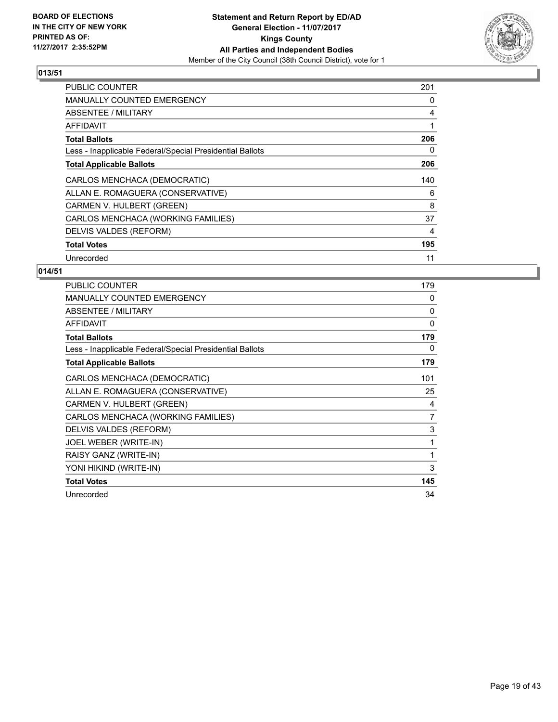

| <b>PUBLIC COUNTER</b>                                    | 201 |
|----------------------------------------------------------|-----|
| <b>MANUALLY COUNTED EMERGENCY</b>                        | 0   |
| <b>ABSENTEE / MILITARY</b>                               | 4   |
| AFFIDAVIT                                                |     |
| <b>Total Ballots</b>                                     | 206 |
| Less - Inapplicable Federal/Special Presidential Ballots | 0   |
| <b>Total Applicable Ballots</b>                          | 206 |
| CARLOS MENCHACA (DEMOCRATIC)                             | 140 |
| ALLAN E. ROMAGUERA (CONSERVATIVE)                        | 6   |
| CARMEN V. HULBERT (GREEN)                                | 8   |
| CARLOS MENCHACA (WORKING FAMILIES)                       | 37  |
| DELVIS VALDES (REFORM)                                   | 4   |
| <b>Total Votes</b>                                       | 195 |
| Unrecorded                                               | 11  |

| PUBLIC COUNTER                                           | 179 |
|----------------------------------------------------------|-----|
| <b>MANUALLY COUNTED EMERGENCY</b>                        | 0   |
| ABSENTEE / MILITARY                                      | 0   |
| <b>AFFIDAVIT</b>                                         | 0   |
| <b>Total Ballots</b>                                     | 179 |
| Less - Inapplicable Federal/Special Presidential Ballots | 0   |
| <b>Total Applicable Ballots</b>                          | 179 |
| CARLOS MENCHACA (DEMOCRATIC)                             | 101 |
| ALLAN E. ROMAGUERA (CONSERVATIVE)                        | 25  |
| CARMEN V. HULBERT (GREEN)                                | 4   |
| CARLOS MENCHACA (WORKING FAMILIES)                       | 7   |
| DELVIS VALDES (REFORM)                                   | 3   |
| JOEL WEBER (WRITE-IN)                                    | 1   |
| RAISY GANZ (WRITE-IN)                                    | 1   |
| YONI HIKIND (WRITE-IN)                                   | 3   |
| <b>Total Votes</b>                                       | 145 |
| Unrecorded                                               | 34  |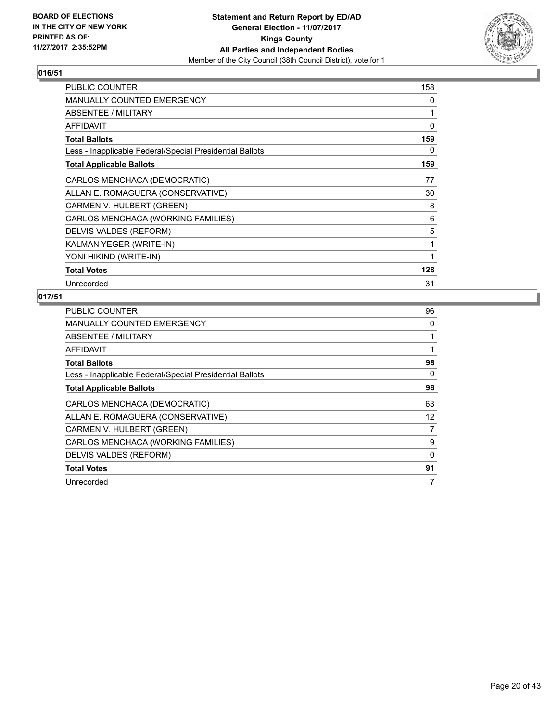

| PUBLIC COUNTER                                           | 158 |
|----------------------------------------------------------|-----|
| <b>MANUALLY COUNTED EMERGENCY</b>                        | 0   |
| ABSENTEE / MILITARY                                      | 1   |
| AFFIDAVIT                                                | 0   |
| <b>Total Ballots</b>                                     | 159 |
| Less - Inapplicable Federal/Special Presidential Ballots | 0   |
| <b>Total Applicable Ballots</b>                          | 159 |
| CARLOS MENCHACA (DEMOCRATIC)                             | 77  |
| ALLAN E. ROMAGUERA (CONSERVATIVE)                        | 30  |
| CARMEN V. HULBERT (GREEN)                                | 8   |
| CARLOS MENCHACA (WORKING FAMILIES)                       | 6   |
| DELVIS VALDES (REFORM)                                   | 5   |
| KALMAN YEGER (WRITE-IN)                                  | 1   |
| YONI HIKIND (WRITE-IN)                                   | 1   |
| <b>Total Votes</b>                                       | 128 |
| Unrecorded                                               | 31  |

| <b>PUBLIC COUNTER</b>                                    | 96           |
|----------------------------------------------------------|--------------|
| <b>MANUALLY COUNTED EMERGENCY</b>                        | 0            |
| ABSENTEE / MILITARY                                      | 1            |
| AFFIDAVIT                                                | $\mathbf{1}$ |
| <b>Total Ballots</b>                                     | 98           |
| Less - Inapplicable Federal/Special Presidential Ballots | 0            |
| <b>Total Applicable Ballots</b>                          | 98           |
| CARLOS MENCHACA (DEMOCRATIC)                             | 63           |
| ALLAN E. ROMAGUERA (CONSERVATIVE)                        | 12           |
| CARMEN V. HULBERT (GREEN)                                | 7            |
| CARLOS MENCHACA (WORKING FAMILIES)                       | 9            |
| DELVIS VALDES (REFORM)                                   | 0            |
| <b>Total Votes</b>                                       | 91           |
| Unrecorded                                               | 7            |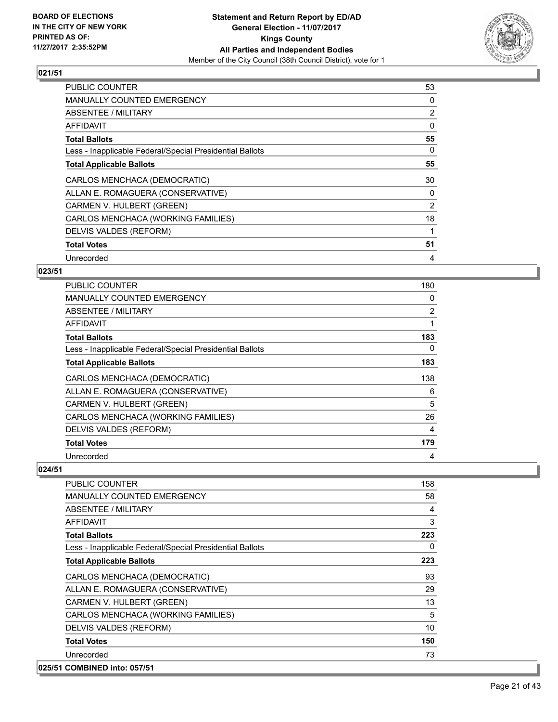

| <b>PUBLIC COUNTER</b>                                    | 53             |
|----------------------------------------------------------|----------------|
| <b>MANUALLY COUNTED EMERGENCY</b>                        | 0              |
| ABSENTEE / MILITARY                                      | $\overline{2}$ |
| AFFIDAVIT                                                | 0              |
| <b>Total Ballots</b>                                     | 55             |
| Less - Inapplicable Federal/Special Presidential Ballots | 0              |
| <b>Total Applicable Ballots</b>                          | 55             |
| CARLOS MENCHACA (DEMOCRATIC)                             | 30             |
| ALLAN E. ROMAGUERA (CONSERVATIVE)                        | 0              |
| CARMEN V. HULBERT (GREEN)                                | 2              |
| CARLOS MENCHACA (WORKING FAMILIES)                       | 18             |
| DELVIS VALDES (REFORM)                                   |                |
| <b>Total Votes</b>                                       | 51             |
| Unrecorded                                               | 4              |

## **023/51**

| <b>PUBLIC COUNTER</b>                                    | 180 |
|----------------------------------------------------------|-----|
| MANUALLY COUNTED EMERGENCY                               | 0   |
| ABSENTEE / MILITARY                                      | 2   |
| AFFIDAVIT                                                | 1   |
| <b>Total Ballots</b>                                     | 183 |
| Less - Inapplicable Federal/Special Presidential Ballots | 0   |
| <b>Total Applicable Ballots</b>                          | 183 |
| CARLOS MENCHACA (DEMOCRATIC)                             | 138 |
| ALLAN E. ROMAGUERA (CONSERVATIVE)                        | 6   |
| CARMEN V. HULBERT (GREEN)                                | 5   |
| CARLOS MENCHACA (WORKING FAMILIES)                       | 26  |
| DELVIS VALDES (REFORM)                                   | 4   |
| <b>Total Votes</b>                                       | 179 |
| Unrecorded                                               | 4   |

| <b>PUBLIC COUNTER</b>                                    | 158 |
|----------------------------------------------------------|-----|
| <b>MANUALLY COUNTED EMERGENCY</b>                        | 58  |
| ABSENTEE / MILITARY                                      | 4   |
| AFFIDAVIT                                                | 3   |
| <b>Total Ballots</b>                                     | 223 |
| Less - Inapplicable Federal/Special Presidential Ballots | 0   |
| <b>Total Applicable Ballots</b>                          | 223 |
| CARLOS MENCHACA (DEMOCRATIC)                             | 93  |
| ALLAN E. ROMAGUERA (CONSERVATIVE)                        | 29  |
| CARMEN V. HULBERT (GREEN)                                | 13  |
| CARLOS MENCHACA (WORKING FAMILIES)                       | 5   |
| DELVIS VALDES (REFORM)                                   | 10  |
| <b>Total Votes</b>                                       | 150 |
| Unrecorded                                               | 73  |
| 025/51 COMBINED into: 057/51                             |     |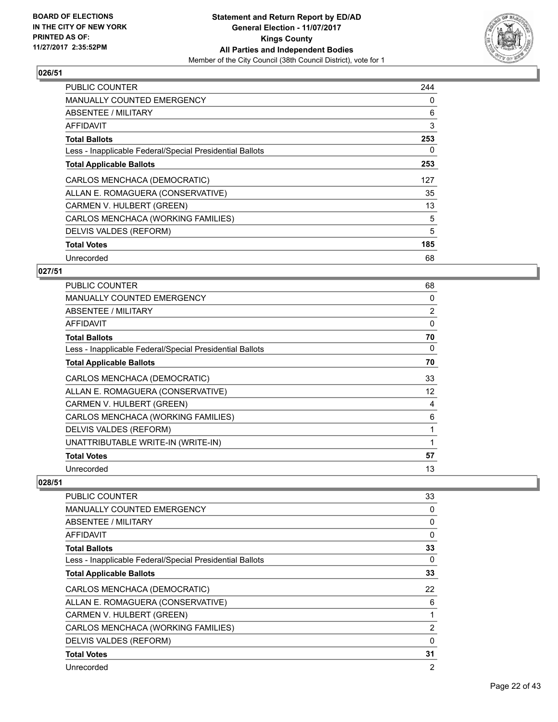

| <b>PUBLIC COUNTER</b>                                    | 244 |
|----------------------------------------------------------|-----|
| <b>MANUALLY COUNTED EMERGENCY</b>                        | 0   |
| <b>ABSENTEE / MILITARY</b>                               | 6   |
| AFFIDAVIT                                                | 3   |
| <b>Total Ballots</b>                                     | 253 |
| Less - Inapplicable Federal/Special Presidential Ballots | 0   |
| <b>Total Applicable Ballots</b>                          | 253 |
| CARLOS MENCHACA (DEMOCRATIC)                             | 127 |
| ALLAN E. ROMAGUERA (CONSERVATIVE)                        | 35  |
| CARMEN V. HULBERT (GREEN)                                | 13  |
| CARLOS MENCHACA (WORKING FAMILIES)                       | 5   |
| DELVIS VALDES (REFORM)                                   | 5   |
| <b>Total Votes</b>                                       | 185 |
| Unrecorded                                               | 68  |

## **027/51**

| <b>PUBLIC COUNTER</b>                                    | 68             |
|----------------------------------------------------------|----------------|
| <b>MANUALLY COUNTED EMERGENCY</b>                        | 0              |
| ABSENTEE / MILITARY                                      | $\overline{2}$ |
| AFFIDAVIT                                                | 0              |
| <b>Total Ballots</b>                                     | 70             |
| Less - Inapplicable Federal/Special Presidential Ballots | 0              |
| <b>Total Applicable Ballots</b>                          | 70             |
| CARLOS MENCHACA (DEMOCRATIC)                             | 33             |
| ALLAN E. ROMAGUERA (CONSERVATIVE)                        | 12             |
| CARMEN V. HULBERT (GREEN)                                | 4              |
| CARLOS MENCHACA (WORKING FAMILIES)                       | 6              |
| DELVIS VALDES (REFORM)                                   | 1              |
| UNATTRIBUTABLE WRITE-IN (WRITE-IN)                       | 1              |
| <b>Total Votes</b>                                       | 57             |
| Unrecorded                                               | 13             |

| <b>PUBLIC COUNTER</b>                                    | 33             |
|----------------------------------------------------------|----------------|
| <b>MANUALLY COUNTED EMERGENCY</b>                        | 0              |
| ABSENTEE / MILITARY                                      | 0              |
| AFFIDAVIT                                                | 0              |
| <b>Total Ballots</b>                                     | 33             |
| Less - Inapplicable Federal/Special Presidential Ballots | 0              |
| <b>Total Applicable Ballots</b>                          | 33             |
| CARLOS MENCHACA (DEMOCRATIC)                             | 22             |
| ALLAN E. ROMAGUERA (CONSERVATIVE)                        | 6              |
| CARMEN V. HULBERT (GREEN)                                | 1              |
| CARLOS MENCHACA (WORKING FAMILIES)                       | 2              |
| DELVIS VALDES (REFORM)                                   | 0              |
| <b>Total Votes</b>                                       | 31             |
| Unrecorded                                               | $\overline{2}$ |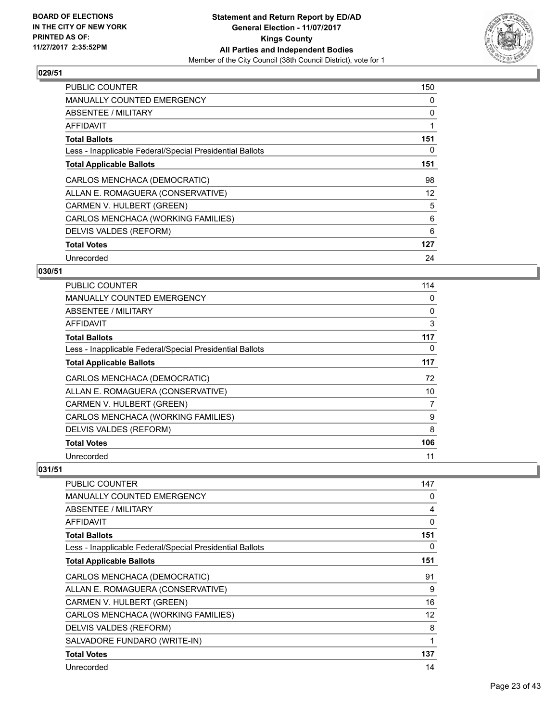

| <b>PUBLIC COUNTER</b>                                    | 150 |
|----------------------------------------------------------|-----|
| <b>MANUALLY COUNTED EMERGENCY</b>                        | 0   |
| <b>ABSENTEE / MILITARY</b>                               | 0   |
| AFFIDAVIT                                                |     |
| <b>Total Ballots</b>                                     | 151 |
| Less - Inapplicable Federal/Special Presidential Ballots | 0   |
| <b>Total Applicable Ballots</b>                          | 151 |
| CARLOS MENCHACA (DEMOCRATIC)                             | 98  |
| ALLAN E. ROMAGUERA (CONSERVATIVE)                        | 12  |
| CARMEN V. HULBERT (GREEN)                                | 5   |
| CARLOS MENCHACA (WORKING FAMILIES)                       | 6   |
| DELVIS VALDES (REFORM)                                   | 6   |
| <b>Total Votes</b>                                       | 127 |
| Unrecorded                                               | 24  |

## **030/51**

| <b>PUBLIC COUNTER</b>                                    | 114 |
|----------------------------------------------------------|-----|
| <b>MANUALLY COUNTED EMERGENCY</b>                        | 0   |
| ABSENTEE / MILITARY                                      | 0   |
| AFFIDAVIT                                                | 3   |
| <b>Total Ballots</b>                                     | 117 |
| Less - Inapplicable Federal/Special Presidential Ballots | 0   |
| <b>Total Applicable Ballots</b>                          | 117 |
| CARLOS MENCHACA (DEMOCRATIC)                             | 72  |
| ALLAN E. ROMAGUERA (CONSERVATIVE)                        | 10  |
| CARMEN V. HULBERT (GREEN)                                | 7   |
| CARLOS MENCHACA (WORKING FAMILIES)                       | 9   |
| DELVIS VALDES (REFORM)                                   | 8   |
| <b>Total Votes</b>                                       | 106 |
| Unrecorded                                               | 11  |

| <b>PUBLIC COUNTER</b>                                    | 147 |
|----------------------------------------------------------|-----|
| <b>MANUALLY COUNTED EMERGENCY</b>                        | 0   |
| <b>ABSENTEE / MILITARY</b>                               | 4   |
| AFFIDAVIT                                                | 0   |
| <b>Total Ballots</b>                                     | 151 |
| Less - Inapplicable Federal/Special Presidential Ballots | 0   |
| <b>Total Applicable Ballots</b>                          | 151 |
| CARLOS MENCHACA (DEMOCRATIC)                             | 91  |
| ALLAN E. ROMAGUERA (CONSERVATIVE)                        | 9   |
| CARMEN V. HULBERT (GREEN)                                | 16  |
| CARLOS MENCHACA (WORKING FAMILIES)                       | 12  |
| DELVIS VALDES (REFORM)                                   | 8   |
| SALVADORE FUNDARO (WRITE-IN)                             | 1   |
| <b>Total Votes</b>                                       | 137 |
| Unrecorded                                               | 14  |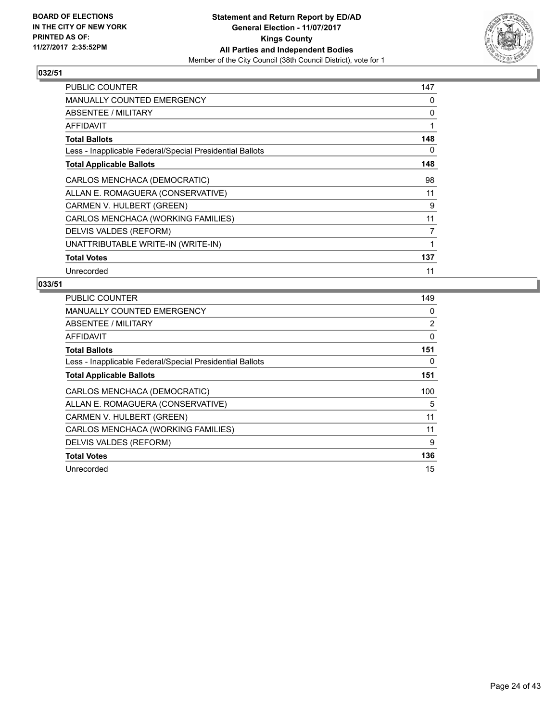

| <b>PUBLIC COUNTER</b>                                    | 147 |
|----------------------------------------------------------|-----|
| <b>MANUALLY COUNTED EMERGENCY</b>                        | 0   |
| ABSENTEE / MILITARY                                      | 0   |
| AFFIDAVIT                                                | 1   |
| <b>Total Ballots</b>                                     | 148 |
| Less - Inapplicable Federal/Special Presidential Ballots | 0   |
| <b>Total Applicable Ballots</b>                          | 148 |
| CARLOS MENCHACA (DEMOCRATIC)                             | 98  |
| ALLAN E. ROMAGUERA (CONSERVATIVE)                        | 11  |
| CARMEN V. HULBERT (GREEN)                                | 9   |
| CARLOS MENCHACA (WORKING FAMILIES)                       | 11  |
| DELVIS VALDES (REFORM)                                   | 7   |
| UNATTRIBUTABLE WRITE-IN (WRITE-IN)                       | 1   |
| <b>Total Votes</b>                                       | 137 |
| Unrecorded                                               | 11  |

| <b>PUBLIC COUNTER</b>                                    | 149            |
|----------------------------------------------------------|----------------|
| <b>MANUALLY COUNTED EMERGENCY</b>                        | 0              |
| <b>ABSENTEE / MILITARY</b>                               | $\overline{2}$ |
| AFFIDAVIT                                                | 0              |
| <b>Total Ballots</b>                                     | 151            |
| Less - Inapplicable Federal/Special Presidential Ballots | 0              |
| <b>Total Applicable Ballots</b>                          | 151            |
| CARLOS MENCHACA (DEMOCRATIC)                             | 100            |
| ALLAN E. ROMAGUERA (CONSERVATIVE)                        | 5              |
| CARMEN V. HULBERT (GREEN)                                | 11             |
| CARLOS MENCHACA (WORKING FAMILIES)                       | 11             |
| DELVIS VALDES (REFORM)                                   | 9              |
| <b>Total Votes</b>                                       | 136            |
|                                                          |                |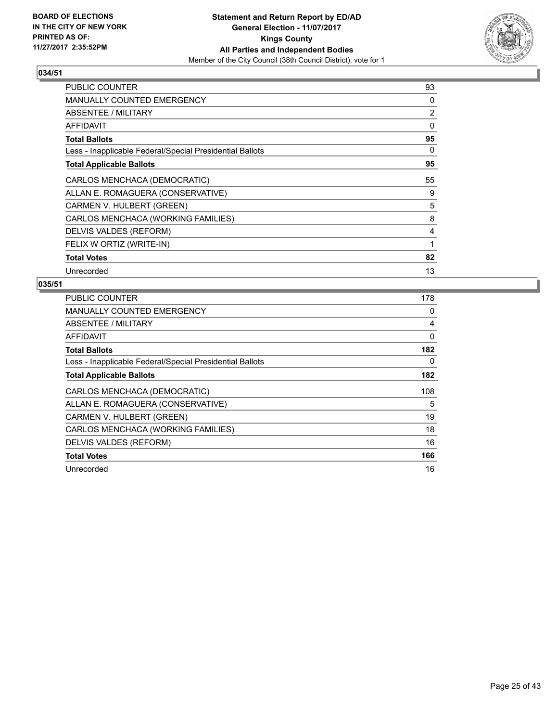

| PUBLIC COUNTER                                           | 93 |
|----------------------------------------------------------|----|
| MANUALLY COUNTED EMERGENCY                               | 0  |
| <b>ABSENTEE / MILITARY</b>                               | 2  |
| AFFIDAVIT                                                | 0  |
| <b>Total Ballots</b>                                     | 95 |
| Less - Inapplicable Federal/Special Presidential Ballots | 0  |
| <b>Total Applicable Ballots</b>                          | 95 |
| CARLOS MENCHACA (DEMOCRATIC)                             | 55 |
| ALLAN E. ROMAGUERA (CONSERVATIVE)                        | 9  |
| CARMEN V. HULBERT (GREEN)                                | 5  |
| CARLOS MENCHACA (WORKING FAMILIES)                       | 8  |
| DELVIS VALDES (REFORM)                                   | 4  |
| FELIX W ORTIZ (WRITE-IN)                                 | 1  |
| <b>Total Votes</b>                                       | 82 |
| Unrecorded                                               | 13 |

| <b>PUBLIC COUNTER</b>                                    | 178 |
|----------------------------------------------------------|-----|
| <b>MANUALLY COUNTED EMERGENCY</b>                        | 0   |
| ABSENTEE / MILITARY                                      | 4   |
| AFFIDAVIT                                                | 0   |
| <b>Total Ballots</b>                                     | 182 |
| Less - Inapplicable Federal/Special Presidential Ballots | 0   |
| <b>Total Applicable Ballots</b>                          | 182 |
| CARLOS MENCHACA (DEMOCRATIC)                             | 108 |
| ALLAN E. ROMAGUERA (CONSERVATIVE)                        | 5   |
| CARMEN V. HULBERT (GREEN)                                | 19  |
| CARLOS MENCHACA (WORKING FAMILIES)                       | 18  |
|                                                          |     |
| DELVIS VALDES (REFORM)                                   | 16  |
| <b>Total Votes</b>                                       | 166 |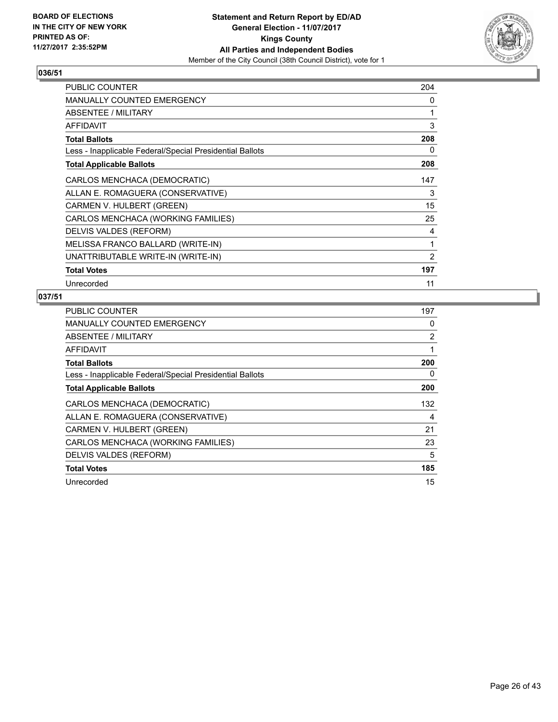

| <b>PUBLIC COUNTER</b>                                    | 204            |
|----------------------------------------------------------|----------------|
| <b>MANUALLY COUNTED EMERGENCY</b>                        | 0              |
| ABSENTEE / MILITARY                                      | 1              |
| <b>AFFIDAVIT</b>                                         | 3              |
| <b>Total Ballots</b>                                     | 208            |
| Less - Inapplicable Federal/Special Presidential Ballots | 0              |
| <b>Total Applicable Ballots</b>                          | 208            |
| CARLOS MENCHACA (DEMOCRATIC)                             | 147            |
| ALLAN E. ROMAGUERA (CONSERVATIVE)                        | 3              |
| CARMEN V. HULBERT (GREEN)                                | 15             |
| CARLOS MENCHACA (WORKING FAMILIES)                       | 25             |
| DELVIS VALDES (REFORM)                                   | 4              |
| MELISSA FRANCO BALLARD (WRITE-IN)                        | 1              |
| UNATTRIBUTABLE WRITE-IN (WRITE-IN)                       | $\overline{2}$ |
| <b>Total Votes</b>                                       | 197            |
| Unrecorded                                               | 11             |

| <b>PUBLIC COUNTER</b>                                    | 197 |
|----------------------------------------------------------|-----|
| <b>MANUALLY COUNTED EMERGENCY</b>                        | 0   |
| ABSENTEE / MILITARY                                      | 2   |
| <b>AFFIDAVIT</b>                                         | 1   |
| <b>Total Ballots</b>                                     | 200 |
| Less - Inapplicable Federal/Special Presidential Ballots | 0   |
| <b>Total Applicable Ballots</b>                          | 200 |
| CARLOS MENCHACA (DEMOCRATIC)                             | 132 |
| ALLAN E. ROMAGUERA (CONSERVATIVE)                        | 4   |
| CARMEN V. HULBERT (GREEN)                                | 21  |
| CARLOS MENCHACA (WORKING FAMILIES)                       | 23  |
| DELVIS VALDES (REFORM)                                   | 5   |
| <b>Total Votes</b>                                       | 185 |
| Unrecorded                                               | 15  |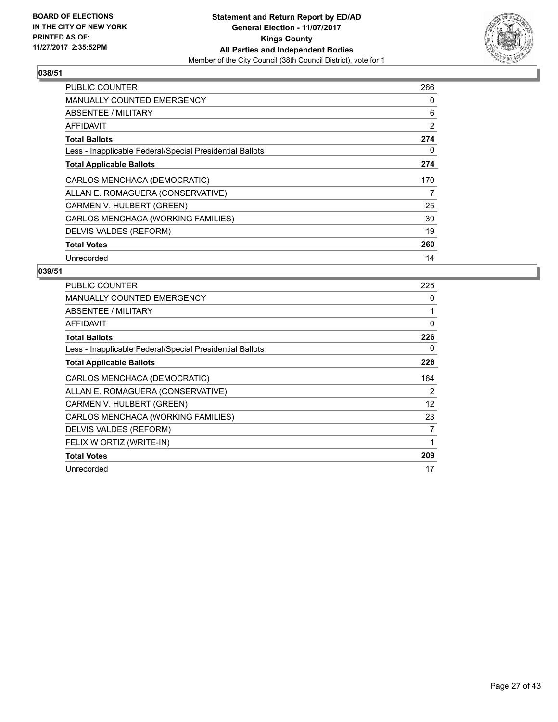

| <b>PUBLIC COUNTER</b>                                    | 266 |
|----------------------------------------------------------|-----|
| <b>MANUALLY COUNTED EMERGENCY</b>                        | 0   |
| <b>ABSENTEE / MILITARY</b>                               | 6   |
| AFFIDAVIT                                                | 2   |
| <b>Total Ballots</b>                                     | 274 |
| Less - Inapplicable Federal/Special Presidential Ballots | 0   |
| <b>Total Applicable Ballots</b>                          | 274 |
| CARLOS MENCHACA (DEMOCRATIC)                             | 170 |
| ALLAN E. ROMAGUERA (CONSERVATIVE)                        | 7   |
| CARMEN V. HULBERT (GREEN)                                | 25  |
| CARLOS MENCHACA (WORKING FAMILIES)                       | 39  |
| DELVIS VALDES (REFORM)                                   | 19  |
| <b>Total Votes</b>                                       | 260 |
| Unrecorded                                               | 14  |

| <b>PUBLIC COUNTER</b>                                    | 225      |
|----------------------------------------------------------|----------|
| <b>MANUALLY COUNTED EMERGENCY</b>                        | 0        |
| ABSENTEE / MILITARY                                      | 1        |
| <b>AFFIDAVIT</b>                                         | $\Omega$ |
| <b>Total Ballots</b>                                     | 226      |
| Less - Inapplicable Federal/Special Presidential Ballots | 0        |
| <b>Total Applicable Ballots</b>                          | 226      |
| CARLOS MENCHACA (DEMOCRATIC)                             | 164      |
| ALLAN E. ROMAGUERA (CONSERVATIVE)                        | 2        |
| CARMEN V. HULBERT (GREEN)                                | 12       |
| CARLOS MENCHACA (WORKING FAMILIES)                       | 23       |
| DELVIS VALDES (REFORM)                                   | 7        |
| FELIX W ORTIZ (WRITE-IN)                                 | 1        |
| <b>Total Votes</b>                                       | 209      |
| Unrecorded                                               | 17       |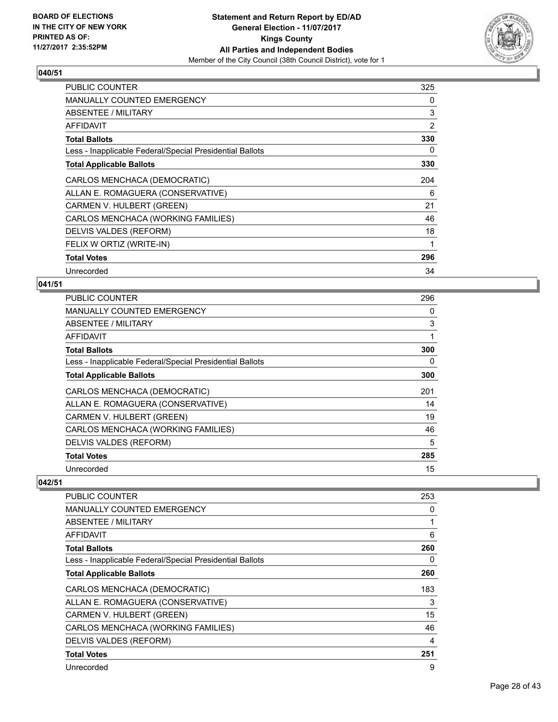

| <b>PUBLIC COUNTER</b>                                    | 325 |
|----------------------------------------------------------|-----|
| <b>MANUALLY COUNTED EMERGENCY</b>                        | 0   |
| ABSENTEE / MILITARY                                      | 3   |
| AFFIDAVIT                                                | 2   |
| <b>Total Ballots</b>                                     | 330 |
| Less - Inapplicable Federal/Special Presidential Ballots | 0   |
| <b>Total Applicable Ballots</b>                          | 330 |
| CARLOS MENCHACA (DEMOCRATIC)                             | 204 |
| ALLAN E. ROMAGUERA (CONSERVATIVE)                        | 6   |
| CARMEN V. HULBERT (GREEN)                                | 21  |
| CARLOS MENCHACA (WORKING FAMILIES)                       | 46  |
| DELVIS VALDES (REFORM)                                   | 18  |
| FELIX W ORTIZ (WRITE-IN)                                 |     |
| <b>Total Votes</b>                                       | 296 |
| Unrecorded                                               | 34  |

## **041/51**

| <b>PUBLIC COUNTER</b>                                    | 296 |
|----------------------------------------------------------|-----|
| <b>MANUALLY COUNTED EMERGENCY</b>                        | 0   |
| ABSENTEE / MILITARY                                      | 3   |
| AFFIDAVIT                                                |     |
| <b>Total Ballots</b>                                     | 300 |
| Less - Inapplicable Federal/Special Presidential Ballots | 0   |
| <b>Total Applicable Ballots</b>                          | 300 |
| CARLOS MENCHACA (DEMOCRATIC)                             | 201 |
| ALLAN E. ROMAGUERA (CONSERVATIVE)                        | 14  |
| CARMEN V. HULBERT (GREEN)                                | 19  |
| CARLOS MENCHACA (WORKING FAMILIES)                       | 46  |
| DELVIS VALDES (REFORM)                                   | 5   |
| <b>Total Votes</b>                                       | 285 |
| Unrecorded                                               | 15  |

| <b>PUBLIC COUNTER</b>                                    | 253 |
|----------------------------------------------------------|-----|
| MANUALLY COUNTED EMERGENCY                               | 0   |
| ABSENTEE / MILITARY                                      | 1   |
| <b>AFFIDAVIT</b>                                         | 6   |
| <b>Total Ballots</b>                                     | 260 |
| Less - Inapplicable Federal/Special Presidential Ballots | 0   |
| <b>Total Applicable Ballots</b>                          | 260 |
| CARLOS MENCHACA (DEMOCRATIC)                             | 183 |
| ALLAN E. ROMAGUERA (CONSERVATIVE)                        | 3   |
| CARMEN V. HULBERT (GREEN)                                | 15  |
| CARLOS MENCHACA (WORKING FAMILIES)                       | 46  |
| DELVIS VALDES (REFORM)                                   | 4   |
| <b>Total Votes</b>                                       | 251 |
| Unrecorded                                               | 9   |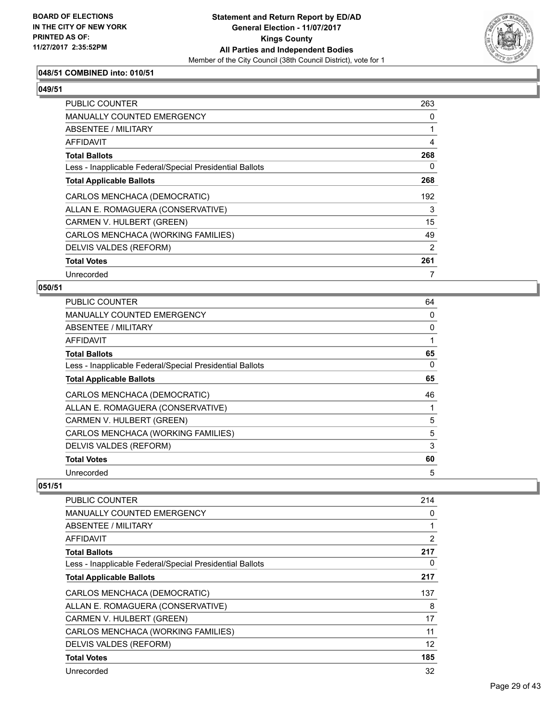

## **048/51 COMBINED into: 010/51**

#### **049/51**

| <b>PUBLIC COUNTER</b>                                    | 263 |
|----------------------------------------------------------|-----|
| <b>MANUALLY COUNTED EMERGENCY</b>                        | 0   |
| ABSENTEE / MILITARY                                      |     |
| AFFIDAVIT                                                | 4   |
| <b>Total Ballots</b>                                     | 268 |
| Less - Inapplicable Federal/Special Presidential Ballots | 0   |
| <b>Total Applicable Ballots</b>                          | 268 |
| CARLOS MENCHACA (DEMOCRATIC)                             | 192 |
| ALLAN E. ROMAGUERA (CONSERVATIVE)                        | 3   |
| CARMEN V. HULBERT (GREEN)                                | 15  |
| CARLOS MENCHACA (WORKING FAMILIES)                       | 49  |
| DELVIS VALDES (REFORM)                                   | 2   |
| <b>Total Votes</b>                                       | 261 |
| Unrecorded                                               |     |

#### **050/51**

| PUBLIC COUNTER                                           | 64 |
|----------------------------------------------------------|----|
| MANUALLY COUNTED EMERGENCY                               | 0  |
| ABSENTEE / MILITARY                                      | 0  |
| AFFIDAVIT                                                |    |
| <b>Total Ballots</b>                                     | 65 |
| Less - Inapplicable Federal/Special Presidential Ballots | 0  |
| <b>Total Applicable Ballots</b>                          | 65 |
| CARLOS MENCHACA (DEMOCRATIC)                             | 46 |
| ALLAN E. ROMAGUERA (CONSERVATIVE)                        |    |
| CARMEN V. HULBERT (GREEN)                                | 5  |
| CARLOS MENCHACA (WORKING FAMILIES)                       | 5  |
| DELVIS VALDES (REFORM)                                   | 3  |
| <b>Total Votes</b>                                       | 60 |
| Unrecorded                                               | 5  |

| <b>PUBLIC COUNTER</b>                                    | 214            |
|----------------------------------------------------------|----------------|
| <b>MANUALLY COUNTED EMERGENCY</b>                        | 0              |
| ABSENTEE / MILITARY                                      |                |
| AFFIDAVIT                                                | $\overline{2}$ |
| <b>Total Ballots</b>                                     | 217            |
| Less - Inapplicable Federal/Special Presidential Ballots | 0              |
| <b>Total Applicable Ballots</b>                          | 217            |
| CARLOS MENCHACA (DEMOCRATIC)                             | 137            |
| ALLAN E. ROMAGUERA (CONSERVATIVE)                        | 8              |
| CARMEN V. HULBERT (GREEN)                                | 17             |
| CARLOS MENCHACA (WORKING FAMILIES)                       | 11             |
| DELVIS VALDES (REFORM)                                   | 12             |
| <b>Total Votes</b>                                       | 185            |
| Unrecorded                                               | 32             |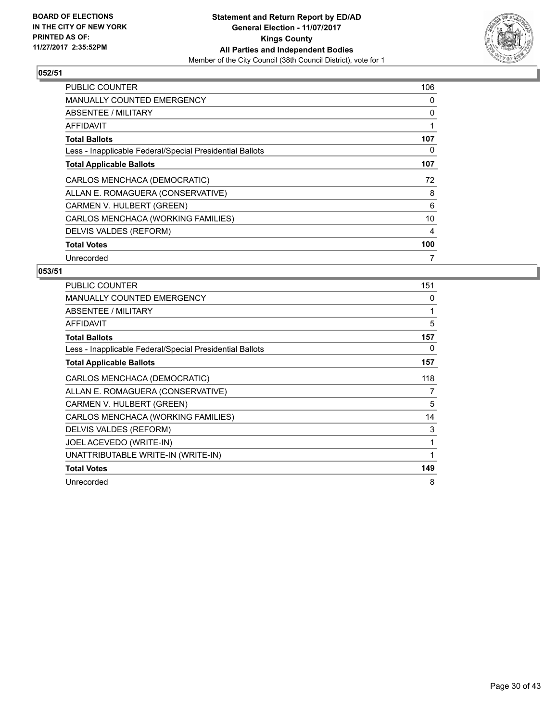

| <b>PUBLIC COUNTER</b>                                    | 106 |
|----------------------------------------------------------|-----|
| <b>MANUALLY COUNTED EMERGENCY</b>                        | 0   |
| ABSENTEE / MILITARY                                      | 0   |
| AFFIDAVIT                                                | 1   |
| <b>Total Ballots</b>                                     | 107 |
| Less - Inapplicable Federal/Special Presidential Ballots | 0   |
| <b>Total Applicable Ballots</b>                          | 107 |
| CARLOS MENCHACA (DEMOCRATIC)                             | 72  |
| ALLAN E. ROMAGUERA (CONSERVATIVE)                        | 8   |
| CARMEN V. HULBERT (GREEN)                                | 6   |
| CARLOS MENCHACA (WORKING FAMILIES)                       | 10  |
| DELVIS VALDES (REFORM)                                   | 4   |
| <b>Total Votes</b>                                       | 100 |
| Unrecorded                                               | 7   |

| PUBLIC COUNTER                                           | 151 |
|----------------------------------------------------------|-----|
| <b>MANUALLY COUNTED EMERGENCY</b>                        | 0   |
| ABSENTEE / MILITARY                                      | 1   |
| <b>AFFIDAVIT</b>                                         | 5   |
| <b>Total Ballots</b>                                     | 157 |
| Less - Inapplicable Federal/Special Presidential Ballots | 0   |
| <b>Total Applicable Ballots</b>                          | 157 |
| CARLOS MENCHACA (DEMOCRATIC)                             | 118 |
| ALLAN E. ROMAGUERA (CONSERVATIVE)                        | 7   |
| CARMEN V. HULBERT (GREEN)                                | 5   |
| CARLOS MENCHACA (WORKING FAMILIES)                       | 14  |
| DELVIS VALDES (REFORM)                                   | 3   |
| JOEL ACEVEDO (WRITE-IN)                                  | 1   |
| UNATTRIBUTABLE WRITE-IN (WRITE-IN)                       |     |
| <b>Total Votes</b>                                       | 149 |
| Unrecorded                                               | 8   |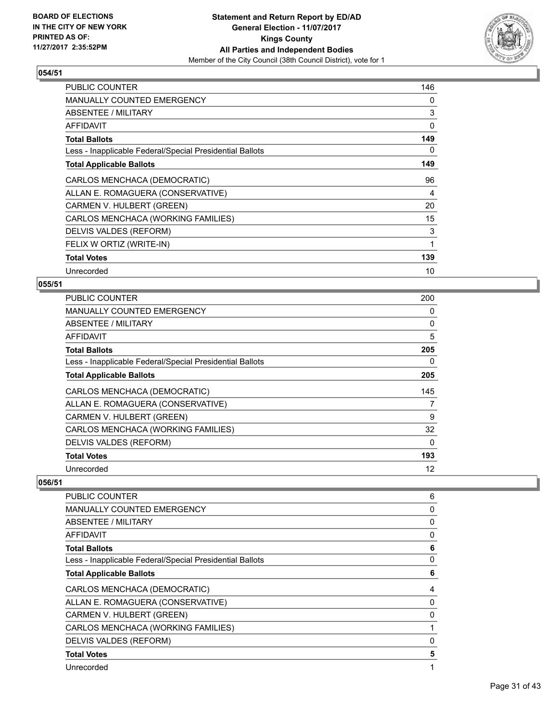

| <b>PUBLIC COUNTER</b>                                    | 146 |
|----------------------------------------------------------|-----|
| MANUALLY COUNTED EMERGENCY                               | 0   |
| ABSENTEE / MILITARY                                      | 3   |
| <b>AFFIDAVIT</b>                                         | 0   |
| <b>Total Ballots</b>                                     | 149 |
| Less - Inapplicable Federal/Special Presidential Ballots | 0   |
| <b>Total Applicable Ballots</b>                          | 149 |
| CARLOS MENCHACA (DEMOCRATIC)                             | 96  |
| ALLAN E. ROMAGUERA (CONSERVATIVE)                        | 4   |
| CARMEN V. HULBERT (GREEN)                                | 20  |
| CARLOS MENCHACA (WORKING FAMILIES)                       | 15  |
| DELVIS VALDES (REFORM)                                   | 3   |
| FELIX W ORTIZ (WRITE-IN)                                 | 1   |
| <b>Total Votes</b>                                       | 139 |
| Unrecorded                                               | 10  |

# **055/51**

| <b>PUBLIC COUNTER</b>                                    | 200 |
|----------------------------------------------------------|-----|
| <b>MANUALLY COUNTED EMERGENCY</b>                        | 0   |
| ABSENTEE / MILITARY                                      | 0   |
| AFFIDAVIT                                                | 5   |
| <b>Total Ballots</b>                                     | 205 |
| Less - Inapplicable Federal/Special Presidential Ballots | 0   |
| <b>Total Applicable Ballots</b>                          | 205 |
| CARLOS MENCHACA (DEMOCRATIC)                             | 145 |
| ALLAN E. ROMAGUERA (CONSERVATIVE)                        | 7   |
| CARMEN V. HULBERT (GREEN)                                | 9   |
| CARLOS MENCHACA (WORKING FAMILIES)                       | 32  |
| DELVIS VALDES (REFORM)                                   | 0   |
| <b>Total Votes</b>                                       | 193 |
| Unrecorded                                               | 12  |

| PUBLIC COUNTER                                           | 6           |
|----------------------------------------------------------|-------------|
| MANUALLY COUNTED EMERGENCY                               | 0           |
| ABSENTEE / MILITARY                                      | 0           |
| AFFIDAVIT                                                | 0           |
| <b>Total Ballots</b>                                     | 6           |
| Less - Inapplicable Federal/Special Presidential Ballots | 0           |
| <b>Total Applicable Ballots</b>                          | 6           |
| CARLOS MENCHACA (DEMOCRATIC)                             | 4           |
| ALLAN E. ROMAGUERA (CONSERVATIVE)                        | $\mathbf 0$ |
| CARMEN V. HULBERT (GREEN)                                | 0           |
| CARLOS MENCHACA (WORKING FAMILIES)                       | 1           |
| DELVIS VALDES (REFORM)                                   | 0           |
| <b>Total Votes</b>                                       | 5           |
| Unrecorded                                               | 1           |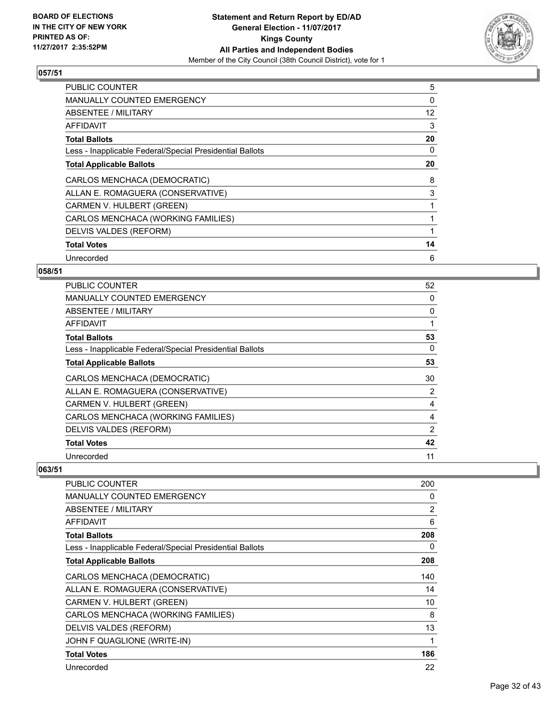

| <b>PUBLIC COUNTER</b>                                    | 5  |
|----------------------------------------------------------|----|
| <b>MANUALLY COUNTED EMERGENCY</b>                        | 0  |
| ABSENTEE / MILITARY                                      | 12 |
| AFFIDAVIT                                                | 3  |
| <b>Total Ballots</b>                                     | 20 |
| Less - Inapplicable Federal/Special Presidential Ballots | 0  |
| <b>Total Applicable Ballots</b>                          | 20 |
| CARLOS MENCHACA (DEMOCRATIC)                             | 8  |
| ALLAN E. ROMAGUERA (CONSERVATIVE)                        | 3  |
| CARMEN V. HULBERT (GREEN)                                |    |
| CARLOS MENCHACA (WORKING FAMILIES)                       |    |
| DELVIS VALDES (REFORM)                                   |    |
| <b>Total Votes</b>                                       | 14 |
| Unrecorded                                               | 6  |

## **058/51**

| <b>PUBLIC COUNTER</b>                                    | 52 |
|----------------------------------------------------------|----|
| <b>MANUALLY COUNTED EMERGENCY</b>                        | 0  |
| ABSENTEE / MILITARY                                      | 0  |
| AFFIDAVIT                                                | 1  |
| <b>Total Ballots</b>                                     | 53 |
| Less - Inapplicable Federal/Special Presidential Ballots | 0  |
| <b>Total Applicable Ballots</b>                          | 53 |
| CARLOS MENCHACA (DEMOCRATIC)                             | 30 |
| ALLAN E. ROMAGUERA (CONSERVATIVE)                        | 2  |
| CARMEN V. HULBERT (GREEN)                                | 4  |
| CARLOS MENCHACA (WORKING FAMILIES)                       | 4  |
| DELVIS VALDES (REFORM)                                   | 2  |
| <b>Total Votes</b>                                       | 42 |
| Unrecorded                                               | 11 |

| PUBLIC COUNTER                                           | 200 |
|----------------------------------------------------------|-----|
| <b>MANUALLY COUNTED EMERGENCY</b>                        | 0   |
| ABSENTEE / MILITARY                                      | 2   |
| AFFIDAVIT                                                | 6   |
| <b>Total Ballots</b>                                     | 208 |
| Less - Inapplicable Federal/Special Presidential Ballots | 0   |
| <b>Total Applicable Ballots</b>                          | 208 |
| CARLOS MENCHACA (DEMOCRATIC)                             | 140 |
| ALLAN E. ROMAGUERA (CONSERVATIVE)                        | 14  |
| CARMEN V. HULBERT (GREEN)                                | 10  |
| CARLOS MENCHACA (WORKING FAMILIES)                       | 8   |
| DELVIS VALDES (REFORM)                                   | 13  |
| JOHN F QUAGLIONE (WRITE-IN)                              | 1   |
| <b>Total Votes</b>                                       | 186 |
| Unrecorded                                               | 22  |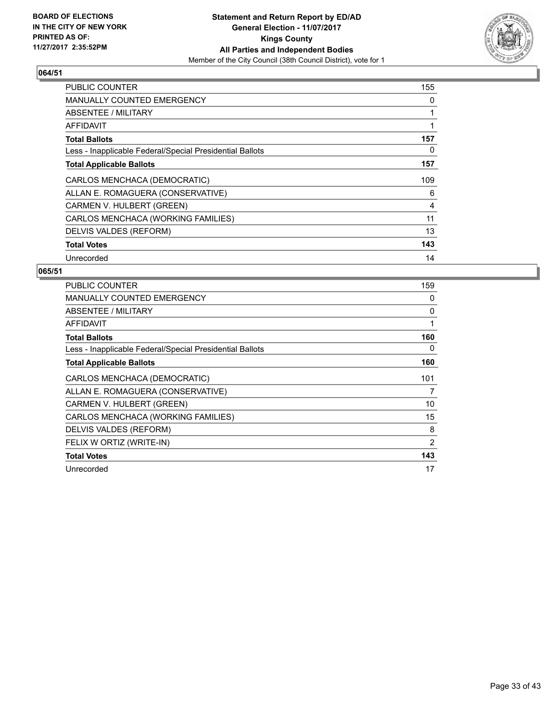

| <b>PUBLIC COUNTER</b>                                    | 155          |
|----------------------------------------------------------|--------------|
| <b>MANUALLY COUNTED EMERGENCY</b>                        | 0            |
| <b>ABSENTEE / MILITARY</b>                               | $\mathbf{1}$ |
| <b>AFFIDAVIT</b>                                         | 1            |
| <b>Total Ballots</b>                                     | 157          |
| Less - Inapplicable Federal/Special Presidential Ballots | 0            |
| <b>Total Applicable Ballots</b>                          | 157          |
| CARLOS MENCHACA (DEMOCRATIC)                             | 109          |
| ALLAN E. ROMAGUERA (CONSERVATIVE)                        | 6            |
| CARMEN V. HULBERT (GREEN)                                | 4            |
| CARLOS MENCHACA (WORKING FAMILIES)                       | 11           |
| DELVIS VALDES (REFORM)                                   | 13           |
| <b>Total Votes</b>                                       | 143          |
| Unrecorded                                               | 14           |

| <b>PUBLIC COUNTER</b>                                    | 159 |
|----------------------------------------------------------|-----|
| <b>MANUALLY COUNTED EMERGENCY</b>                        | 0   |
| ABSENTEE / MILITARY                                      | 0   |
| <b>AFFIDAVIT</b>                                         | 1   |
| <b>Total Ballots</b>                                     | 160 |
| Less - Inapplicable Federal/Special Presidential Ballots | 0   |
| <b>Total Applicable Ballots</b>                          | 160 |
| CARLOS MENCHACA (DEMOCRATIC)                             | 101 |
| ALLAN E. ROMAGUERA (CONSERVATIVE)                        | 7   |
| CARMEN V. HULBERT (GREEN)                                | 10  |
| CARLOS MENCHACA (WORKING FAMILIES)                       | 15  |
| DELVIS VALDES (REFORM)                                   | 8   |
| FELIX W ORTIZ (WRITE-IN)                                 | 2   |
| <b>Total Votes</b>                                       | 143 |
| Unrecorded                                               | 17  |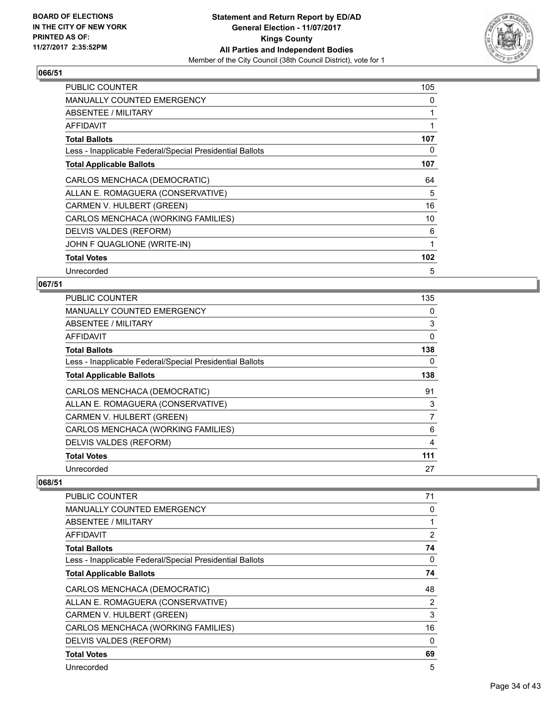

| <b>PUBLIC COUNTER</b>                                    | 105 |
|----------------------------------------------------------|-----|
| <b>MANUALLY COUNTED EMERGENCY</b>                        | 0   |
| ABSENTEE / MILITARY                                      | 1   |
| <b>AFFIDAVIT</b>                                         | 1   |
| <b>Total Ballots</b>                                     | 107 |
| Less - Inapplicable Federal/Special Presidential Ballots | 0   |
| <b>Total Applicable Ballots</b>                          | 107 |
| CARLOS MENCHACA (DEMOCRATIC)                             | 64  |
| ALLAN E. ROMAGUERA (CONSERVATIVE)                        | 5   |
| CARMEN V. HULBERT (GREEN)                                | 16  |
| CARLOS MENCHACA (WORKING FAMILIES)                       | 10  |
| DELVIS VALDES (REFORM)                                   | 6   |
| JOHN F QUAGLIONE (WRITE-IN)                              | 1   |
| <b>Total Votes</b>                                       | 102 |
| Unrecorded                                               | 5   |

#### **067/51**

| PUBLIC COUNTER                                           | 135 |
|----------------------------------------------------------|-----|
| <b>MANUALLY COUNTED EMERGENCY</b>                        | 0   |
| ABSENTEE / MILITARY                                      | 3   |
| AFFIDAVIT                                                | 0   |
| <b>Total Ballots</b>                                     | 138 |
| Less - Inapplicable Federal/Special Presidential Ballots | 0   |
| <b>Total Applicable Ballots</b>                          | 138 |
| CARLOS MENCHACA (DEMOCRATIC)                             | 91  |
| ALLAN E. ROMAGUERA (CONSERVATIVE)                        | 3   |
| CARMEN V. HULBERT (GREEN)                                | 7   |
| CARLOS MENCHACA (WORKING FAMILIES)                       | 6   |
| DELVIS VALDES (REFORM)                                   | 4   |
| <b>Total Votes</b>                                       | 111 |
| Unrecorded                                               | 27  |

| PUBLIC COUNTER                                           | 71             |
|----------------------------------------------------------|----------------|
| <b>MANUALLY COUNTED EMERGENCY</b>                        | 0              |
| ABSENTEE / MILITARY                                      |                |
| AFFIDAVIT                                                | $\overline{2}$ |
| <b>Total Ballots</b>                                     | 74             |
| Less - Inapplicable Federal/Special Presidential Ballots | 0              |
| <b>Total Applicable Ballots</b>                          | 74             |
| CARLOS MENCHACA (DEMOCRATIC)                             | 48             |
| ALLAN E. ROMAGUERA (CONSERVATIVE)                        | 2              |
| CARMEN V. HULBERT (GREEN)                                | 3              |
| CARLOS MENCHACA (WORKING FAMILIES)                       | 16             |
| DELVIS VALDES (REFORM)                                   | 0              |
| <b>Total Votes</b>                                       | 69             |
| Unrecorded                                               | 5              |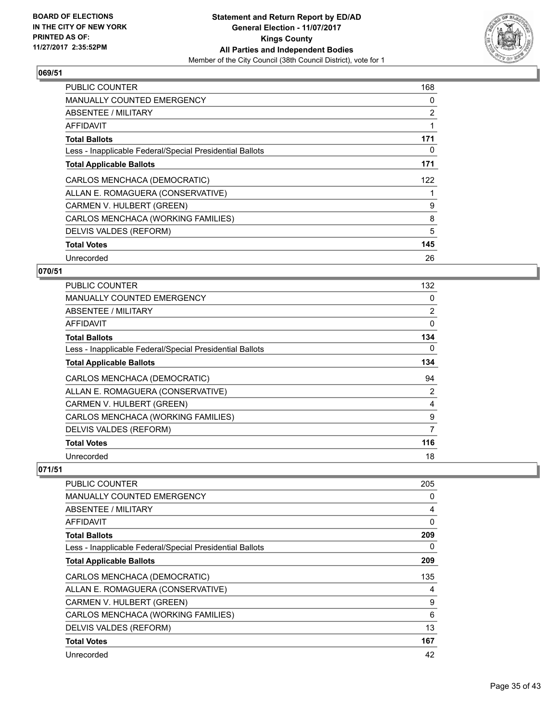

| <b>PUBLIC COUNTER</b>                                    | 168 |
|----------------------------------------------------------|-----|
| <b>MANUALLY COUNTED EMERGENCY</b>                        | 0   |
| <b>ABSENTEE / MILITARY</b>                               | 2   |
| AFFIDAVIT                                                |     |
| <b>Total Ballots</b>                                     | 171 |
| Less - Inapplicable Federal/Special Presidential Ballots | 0   |
| <b>Total Applicable Ballots</b>                          | 171 |
| CARLOS MENCHACA (DEMOCRATIC)                             | 122 |
| ALLAN E. ROMAGUERA (CONSERVATIVE)                        |     |
| CARMEN V. HULBERT (GREEN)                                | 9   |
| CARLOS MENCHACA (WORKING FAMILIES)                       | 8   |
| DELVIS VALDES (REFORM)                                   | 5   |
| <b>Total Votes</b>                                       | 145 |
| Unrecorded                                               | 26  |

## **070/51**

| <b>PUBLIC COUNTER</b>                                    | 132            |
|----------------------------------------------------------|----------------|
| MANUALLY COUNTED EMERGENCY                               | 0              |
| ABSENTEE / MILITARY                                      | $\overline{2}$ |
| AFFIDAVIT                                                | 0              |
| <b>Total Ballots</b>                                     | 134            |
| Less - Inapplicable Federal/Special Presidential Ballots | 0              |
| <b>Total Applicable Ballots</b>                          | 134            |
| CARLOS MENCHACA (DEMOCRATIC)                             | 94             |
| ALLAN E. ROMAGUERA (CONSERVATIVE)                        | 2              |
| CARMEN V. HULBERT (GREEN)                                | 4              |
| CARLOS MENCHACA (WORKING FAMILIES)                       | 9              |
| DELVIS VALDES (REFORM)                                   | 7              |
| <b>Total Votes</b>                                       | 116            |
| Unrecorded                                               | 18             |

| PUBLIC COUNTER                                           | 205 |
|----------------------------------------------------------|-----|
| <b>MANUALLY COUNTED EMERGENCY</b>                        | 0   |
| <b>ABSENTEE / MILITARY</b>                               | 4   |
| AFFIDAVIT                                                | 0   |
| <b>Total Ballots</b>                                     | 209 |
| Less - Inapplicable Federal/Special Presidential Ballots | 0   |
| <b>Total Applicable Ballots</b>                          | 209 |
| CARLOS MENCHACA (DEMOCRATIC)                             | 135 |
| ALLAN E. ROMAGUERA (CONSERVATIVE)                        | 4   |
| CARMEN V. HULBERT (GREEN)                                | 9   |
| CARLOS MENCHACA (WORKING FAMILIES)                       | 6   |
| DELVIS VALDES (REFORM)                                   | 13  |
| <b>Total Votes</b>                                       | 167 |
| Unrecorded                                               | 42  |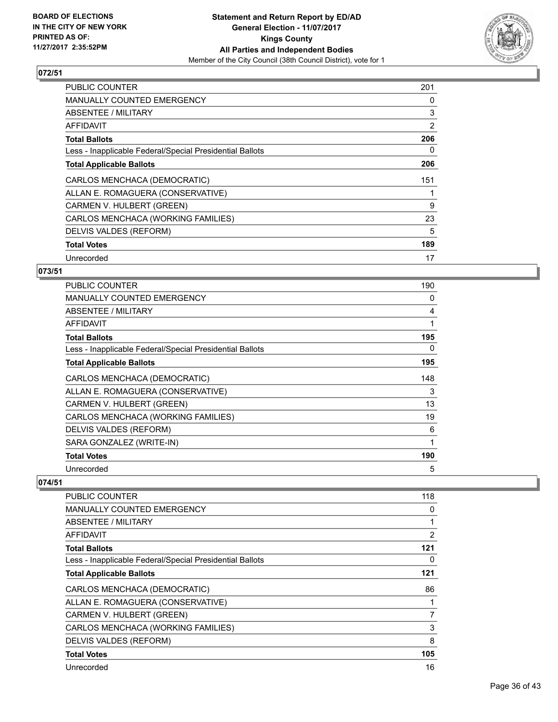

| <b>PUBLIC COUNTER</b>                                    | 201 |
|----------------------------------------------------------|-----|
| <b>MANUALLY COUNTED EMERGENCY</b>                        | 0   |
| ABSENTEE / MILITARY                                      | 3   |
| AFFIDAVIT                                                | 2   |
| <b>Total Ballots</b>                                     | 206 |
| Less - Inapplicable Federal/Special Presidential Ballots | 0   |
| <b>Total Applicable Ballots</b>                          | 206 |
| CARLOS MENCHACA (DEMOCRATIC)                             | 151 |
| ALLAN E. ROMAGUERA (CONSERVATIVE)                        |     |
| CARMEN V. HULBERT (GREEN)                                | 9   |
| CARLOS MENCHACA (WORKING FAMILIES)                       | 23  |
|                                                          | 5   |
| DELVIS VALDES (REFORM)                                   |     |
| <b>Total Votes</b>                                       | 189 |

## **073/51**

| <b>PUBLIC COUNTER</b>                                    | 190 |
|----------------------------------------------------------|-----|
| <b>MANUALLY COUNTED EMERGENCY</b>                        | 0   |
| ABSENTEE / MILITARY                                      | 4   |
| AFFIDAVIT                                                |     |
| <b>Total Ballots</b>                                     | 195 |
| Less - Inapplicable Federal/Special Presidential Ballots | 0   |
| <b>Total Applicable Ballots</b>                          | 195 |
| CARLOS MENCHACA (DEMOCRATIC)                             | 148 |
| ALLAN E. ROMAGUERA (CONSERVATIVE)                        | 3   |
| CARMEN V. HULBERT (GREEN)                                | 13  |
| CARLOS MENCHACA (WORKING FAMILIES)                       | 19  |
| DELVIS VALDES (REFORM)                                   | 6   |
| SARA GONZALEZ (WRITE-IN)                                 |     |
| <b>Total Votes</b>                                       | 190 |
| Unrecorded                                               | 5   |

| <b>PUBLIC COUNTER</b>                                    | 118 |
|----------------------------------------------------------|-----|
| <b>MANUALLY COUNTED EMERGENCY</b>                        | 0   |
| ABSENTEE / MILITARY                                      | 1   |
| AFFIDAVIT                                                | 2   |
| <b>Total Ballots</b>                                     | 121 |
| Less - Inapplicable Federal/Special Presidential Ballots | 0   |
| <b>Total Applicable Ballots</b>                          | 121 |
| CARLOS MENCHACA (DEMOCRATIC)                             | 86  |
| ALLAN E. ROMAGUERA (CONSERVATIVE)                        | 1   |
| CARMEN V. HULBERT (GREEN)                                | 7   |
| CARLOS MENCHACA (WORKING FAMILIES)                       | 3   |
| DELVIS VALDES (REFORM)                                   | 8   |
| <b>Total Votes</b>                                       | 105 |
| Unrecorded                                               | 16  |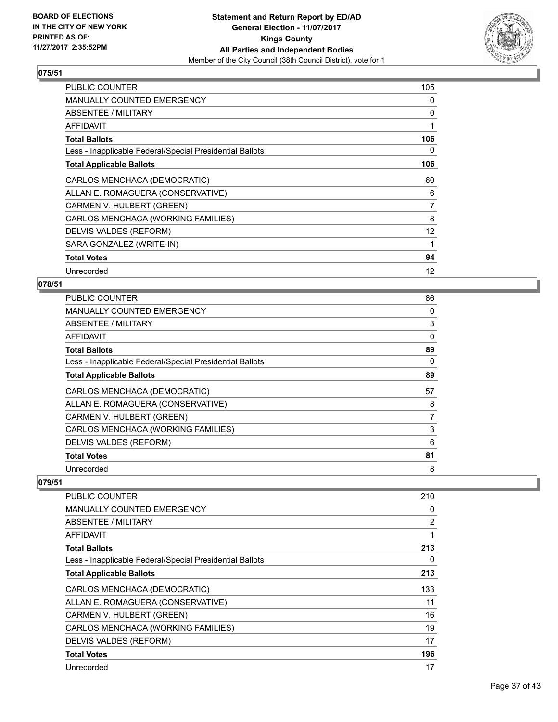

| PUBLIC COUNTER                                           | 105 |
|----------------------------------------------------------|-----|
| MANUALLY COUNTED EMERGENCY                               | 0   |
| ABSENTEE / MILITARY                                      | 0   |
| AFFIDAVIT                                                | 1   |
| <b>Total Ballots</b>                                     | 106 |
| Less - Inapplicable Federal/Special Presidential Ballots | 0   |
| <b>Total Applicable Ballots</b>                          | 106 |
| CARLOS MENCHACA (DEMOCRATIC)                             | 60  |
| ALLAN E. ROMAGUERA (CONSERVATIVE)                        | 6   |
| CARMEN V. HULBERT (GREEN)                                | 7   |
| CARLOS MENCHACA (WORKING FAMILIES)                       | 8   |
| DELVIS VALDES (REFORM)                                   | 12  |
| SARA GONZALEZ (WRITE-IN)                                 | 1   |
| <b>Total Votes</b>                                       | 94  |
| Unrecorded                                               | 12  |

# **078/51**

| <b>PUBLIC COUNTER</b>                                    | 86 |
|----------------------------------------------------------|----|
| MANUALLY COUNTED EMERGENCY                               | 0  |
| ABSENTEE / MILITARY                                      | 3  |
| AFFIDAVIT                                                | 0  |
| <b>Total Ballots</b>                                     | 89 |
| Less - Inapplicable Federal/Special Presidential Ballots | 0  |
| <b>Total Applicable Ballots</b>                          | 89 |
| CARLOS MENCHACA (DEMOCRATIC)                             | 57 |
| ALLAN E. ROMAGUERA (CONSERVATIVE)                        | 8  |
| CARMEN V. HULBERT (GREEN)                                | 7  |
| CARLOS MENCHACA (WORKING FAMILIES)                       | 3  |
| DELVIS VALDES (REFORM)                                   | 6  |
| <b>Total Votes</b>                                       | 81 |
| Unrecorded                                               | 8  |

| PUBLIC COUNTER                                           | 210            |
|----------------------------------------------------------|----------------|
| <b>MANUALLY COUNTED EMERGENCY</b>                        | 0              |
| ABSENTEE / MILITARY                                      | $\overline{2}$ |
| AFFIDAVIT                                                | 1              |
| <b>Total Ballots</b>                                     | 213            |
| Less - Inapplicable Federal/Special Presidential Ballots | 0              |
| <b>Total Applicable Ballots</b>                          | 213            |
| CARLOS MENCHACA (DEMOCRATIC)                             | 133            |
| ALLAN E. ROMAGUERA (CONSERVATIVE)                        | 11             |
| CARMEN V. HULBERT (GREEN)                                | 16             |
| CARLOS MENCHACA (WORKING FAMILIES)                       | 19             |
| DELVIS VALDES (REFORM)                                   | 17             |
| <b>Total Votes</b>                                       | 196            |
| Unrecorded                                               | 17             |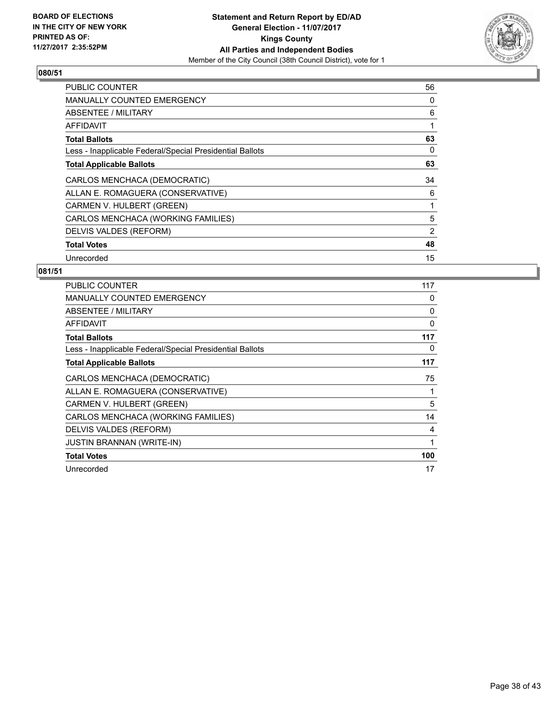

| <b>PUBLIC COUNTER</b>                                    | 56 |
|----------------------------------------------------------|----|
| <b>MANUALLY COUNTED EMERGENCY</b>                        | 0  |
| ABSENTEE / MILITARY                                      | 6  |
| AFFIDAVIT                                                |    |
| <b>Total Ballots</b>                                     | 63 |
| Less - Inapplicable Federal/Special Presidential Ballots | 0  |
| <b>Total Applicable Ballots</b>                          | 63 |
| CARLOS MENCHACA (DEMOCRATIC)                             | 34 |
| ALLAN E. ROMAGUERA (CONSERVATIVE)                        | 6  |
| CARMEN V. HULBERT (GREEN)                                |    |
| CARLOS MENCHACA (WORKING FAMILIES)                       | 5  |
| DELVIS VALDES (REFORM)                                   | 2  |
| <b>Total Votes</b>                                       | 48 |
| Unrecorded                                               | 15 |

| <b>PUBLIC COUNTER</b>                                    | 117      |
|----------------------------------------------------------|----------|
| <b>MANUALLY COUNTED EMERGENCY</b>                        | 0        |
| ABSENTEE / MILITARY                                      | 0        |
| AFFIDAVIT                                                | $\Omega$ |
| <b>Total Ballots</b>                                     | 117      |
| Less - Inapplicable Federal/Special Presidential Ballots | 0        |
| <b>Total Applicable Ballots</b>                          | 117      |
| CARLOS MENCHACA (DEMOCRATIC)                             | 75       |
| ALLAN E. ROMAGUERA (CONSERVATIVE)                        |          |
| CARMEN V. HULBERT (GREEN)                                | 5        |
| CARLOS MENCHACA (WORKING FAMILIES)                       | 14       |
| DELVIS VALDES (REFORM)                                   | 4        |
| <b>JUSTIN BRANNAN (WRITE-IN)</b>                         | 1        |
| <b>Total Votes</b>                                       | 100      |
| Unrecorded                                               | 17       |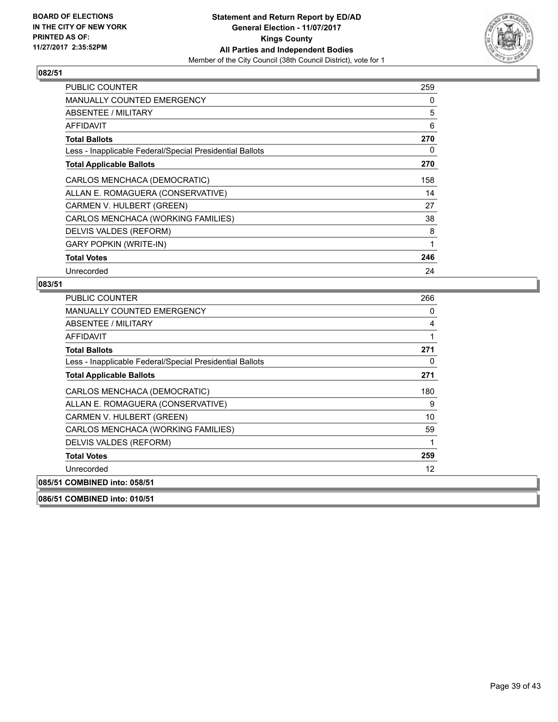

| <b>PUBLIC COUNTER</b>                                    | 259 |
|----------------------------------------------------------|-----|
| MANUALLY COUNTED EMERGENCY                               | 0   |
| ABSENTEE / MILITARY                                      | 5   |
| AFFIDAVIT                                                | 6   |
| <b>Total Ballots</b>                                     | 270 |
| Less - Inapplicable Federal/Special Presidential Ballots | 0   |
| <b>Total Applicable Ballots</b>                          | 270 |
| CARLOS MENCHACA (DEMOCRATIC)                             | 158 |
| ALLAN E. ROMAGUERA (CONSERVATIVE)                        | 14  |
| CARMEN V. HULBERT (GREEN)                                | 27  |
| CARLOS MENCHACA (WORKING FAMILIES)                       | 38  |
| DELVIS VALDES (REFORM)                                   | 8   |
| <b>GARY POPKIN (WRITE-IN)</b>                            | 1   |
| <b>Total Votes</b>                                       | 246 |
| Unrecorded                                               | 24  |

#### **083/51**

| <b>PUBLIC COUNTER</b>                                    | 266 |
|----------------------------------------------------------|-----|
| <b>MANUALLY COUNTED EMERGENCY</b>                        | 0   |
| <b>ABSENTEE / MILITARY</b>                               | 4   |
| <b>AFFIDAVIT</b>                                         | 1   |
| <b>Total Ballots</b>                                     | 271 |
| Less - Inapplicable Federal/Special Presidential Ballots | 0   |
| <b>Total Applicable Ballots</b>                          | 271 |
| CARLOS MENCHACA (DEMOCRATIC)                             | 180 |
| ALLAN E. ROMAGUERA (CONSERVATIVE)                        | 9   |
| CARMEN V. HULBERT (GREEN)                                | 10  |
| CARLOS MENCHACA (WORKING FAMILIES)                       | 59  |
| DELVIS VALDES (REFORM)                                   | 1   |
| <b>Total Votes</b>                                       | 259 |
| Unrecorded                                               | 12  |
| 085/51 COMBINED into: 058/51                             |     |
|                                                          |     |

**086/51 COMBINED into: 010/51**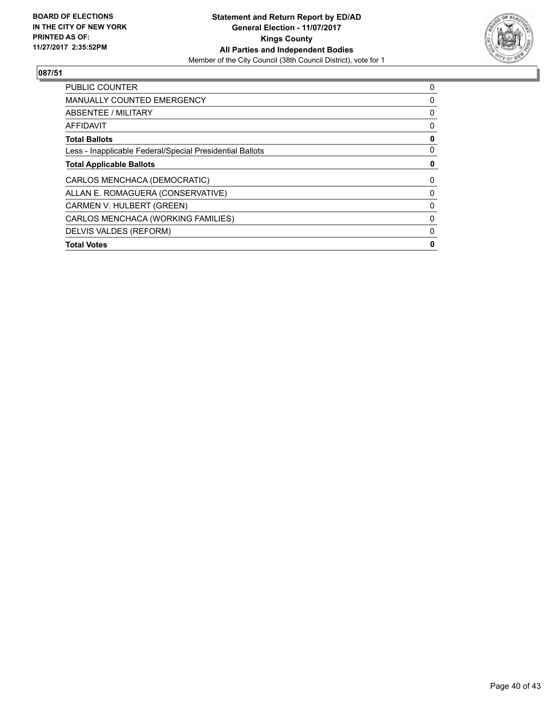

| <b>PUBLIC COUNTER</b>                                    | 0 |
|----------------------------------------------------------|---|
| <b>MANUALLY COUNTED EMERGENCY</b>                        | 0 |
| ABSENTEE / MILITARY                                      | 0 |
| <b>AFFIDAVIT</b>                                         | 0 |
| <b>Total Ballots</b>                                     | 0 |
| Less - Inapplicable Federal/Special Presidential Ballots | 0 |
| <b>Total Applicable Ballots</b>                          | 0 |
| CARLOS MENCHACA (DEMOCRATIC)                             | 0 |
| ALLAN E. ROMAGUERA (CONSERVATIVE)                        | 0 |
| CARMEN V. HULBERT (GREEN)                                | 0 |
| CARLOS MENCHACA (WORKING FAMILIES)                       | 0 |
| DELVIS VALDES (REFORM)                                   | 0 |
| <b>Total Votes</b>                                       | 0 |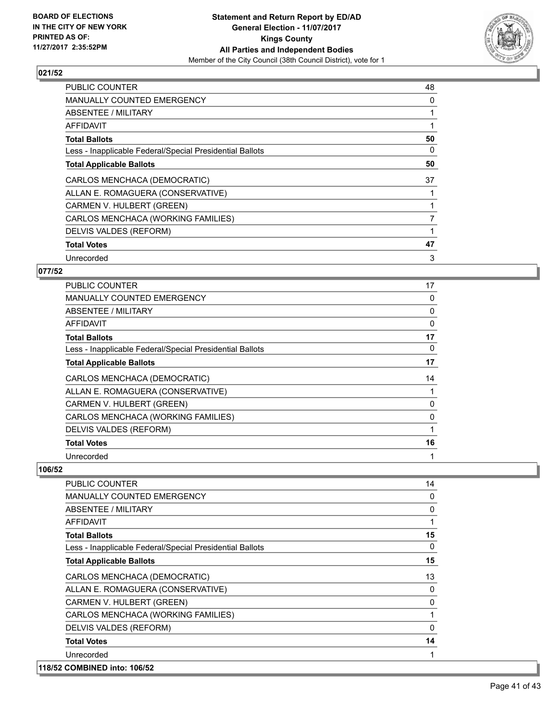

| <b>PUBLIC COUNTER</b>                                    | 48 |
|----------------------------------------------------------|----|
| <b>MANUALLY COUNTED EMERGENCY</b>                        | 0  |
| <b>ABSENTEE / MILITARY</b>                               | 1  |
| AFFIDAVIT                                                |    |
| <b>Total Ballots</b>                                     | 50 |
| Less - Inapplicable Federal/Special Presidential Ballots | 0  |
| <b>Total Applicable Ballots</b>                          | 50 |
| CARLOS MENCHACA (DEMOCRATIC)                             | 37 |
| ALLAN E. ROMAGUERA (CONSERVATIVE)                        |    |
| CARMEN V. HULBERT (GREEN)                                |    |
| CARLOS MENCHACA (WORKING FAMILIES)                       | 7  |
| DELVIS VALDES (REFORM)                                   | 1  |
| <b>Total Votes</b>                                       | 47 |
|                                                          |    |

## **077/52**

| PUBLIC COUNTER                                           | 17          |
|----------------------------------------------------------|-------------|
| <b>MANUALLY COUNTED EMERGENCY</b>                        | 0           |
| ABSENTEE / MILITARY                                      | 0           |
| AFFIDAVIT                                                | $\mathbf 0$ |
| <b>Total Ballots</b>                                     | 17          |
| Less - Inapplicable Federal/Special Presidential Ballots | 0           |
| <b>Total Applicable Ballots</b>                          | 17          |
| CARLOS MENCHACA (DEMOCRATIC)                             | 14          |
| ALLAN E. ROMAGUERA (CONSERVATIVE)                        |             |
| CARMEN V. HULBERT (GREEN)                                | 0           |
| CARLOS MENCHACA (WORKING FAMILIES)                       | 0           |
| DELVIS VALDES (REFORM)                                   |             |
| <b>Total Votes</b>                                       | 16          |
| Unrecorded                                               | 1           |

| <b>PUBLIC COUNTER</b>                                    | 14           |
|----------------------------------------------------------|--------------|
| MANUALLY COUNTED EMERGENCY                               | 0            |
| ABSENTEE / MILITARY                                      | $\mathbf{0}$ |
| AFFIDAVIT                                                |              |
| <b>Total Ballots</b>                                     | 15           |
| Less - Inapplicable Federal/Special Presidential Ballots | 0            |
| <b>Total Applicable Ballots</b>                          | 15           |
| CARLOS MENCHACA (DEMOCRATIC)                             | 13           |
| ALLAN E. ROMAGUERA (CONSERVATIVE)                        | 0            |
| CARMEN V. HULBERT (GREEN)                                | $\Omega$     |
| CARLOS MENCHACA (WORKING FAMILIES)                       |              |
| DELVIS VALDES (REFORM)                                   | $\mathbf{0}$ |
| <b>Total Votes</b>                                       | 14           |
| Unrecorded                                               |              |
| 118/52 COMBINED into: 106/52                             |              |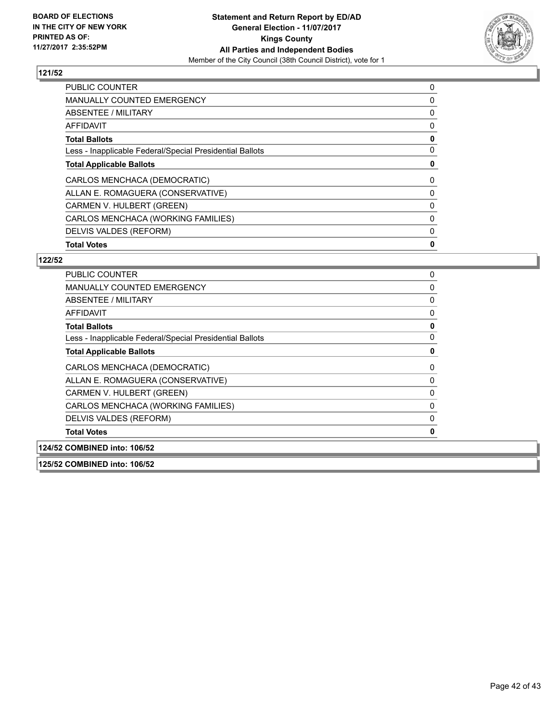

| <b>Total Votes</b>                                       | 0 |
|----------------------------------------------------------|---|
| DELVIS VALDES (REFORM)                                   | 0 |
| CARLOS MENCHACA (WORKING FAMILIES)                       | 0 |
| CARMEN V. HULBERT (GREEN)                                | 0 |
| ALLAN E. ROMAGUERA (CONSERVATIVE)                        | 0 |
| CARLOS MENCHACA (DEMOCRATIC)                             | 0 |
| <b>Total Applicable Ballots</b>                          | 0 |
| Less - Inapplicable Federal/Special Presidential Ballots | 0 |
| <b>Total Ballots</b>                                     | 0 |
| <b>AFFIDAVIT</b>                                         | 0 |
| ABSENTEE / MILITARY                                      | 0 |
| <b>MANUALLY COUNTED EMERGENCY</b>                        | 0 |
| <b>PUBLIC COUNTER</b>                                    | 0 |

## **122/52**

| <b>PUBLIC COUNTER</b>                                    | 0        |
|----------------------------------------------------------|----------|
| <b>MANUALLY COUNTED EMERGENCY</b>                        | 0        |
| <b>ABSENTEE / MILITARY</b>                               | $\Omega$ |
| AFFIDAVIT                                                | 0        |
| <b>Total Ballots</b>                                     | 0        |
| Less - Inapplicable Federal/Special Presidential Ballots | 0        |
| <b>Total Applicable Ballots</b>                          | 0        |
| CARLOS MENCHACA (DEMOCRATIC)                             | 0        |
| ALLAN E. ROMAGUERA (CONSERVATIVE)                        | 0        |
| CARMEN V. HULBERT (GREEN)                                | 0        |
| CARLOS MENCHACA (WORKING FAMILIES)                       | $\Omega$ |
| DELVIS VALDES (REFORM)                                   | 0        |
| <b>Total Votes</b>                                       | O        |
| 124/52 COMBINED into: 106/52                             |          |

**125/52 COMBINED into: 106/52**